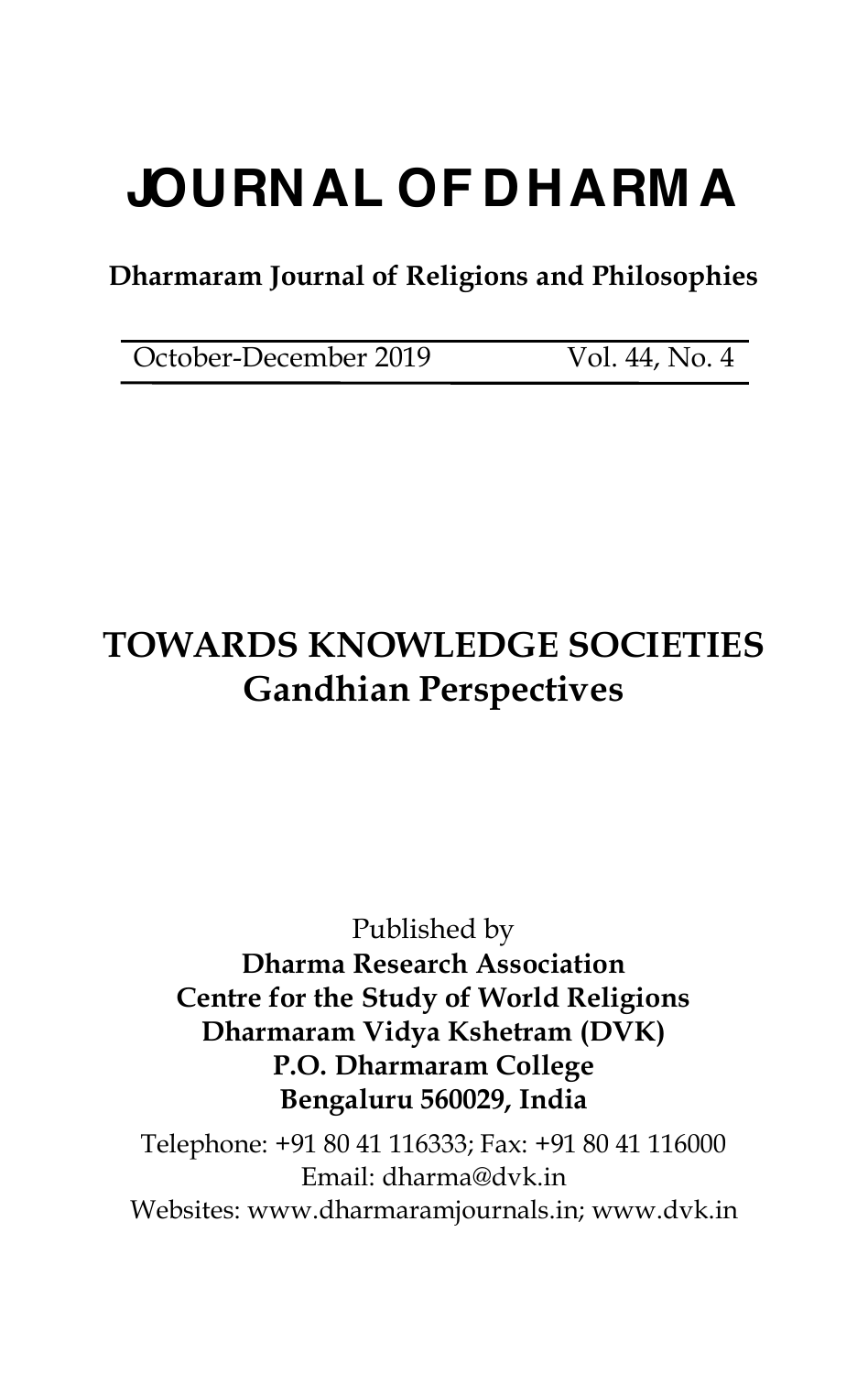# **JOURNAL OF DHARM A**

## **Dharmaram Journal of Religions and Philosophies**

October-December 2019 Vol. 44, No. 4

# **TOWARDS KNOWLEDGE SOCIETIES Gandhian Perspectives**

### Published by **Dharma Research Association Centre for the Study of World Religions Dharmaram Vidya Kshetram (DVK) P.O. Dharmaram College Bengaluru 560029, India**

Telephone: +91 80 41 116333; Fax: +91 80 41 116000 Email: [dharma@dvk.in](mailto:dharma@dvk.in) Websites: [www.dharmaramjournals.in;](http://www.dharmaramjournals.in;) [www.dvk.in](http://www.dvk.in)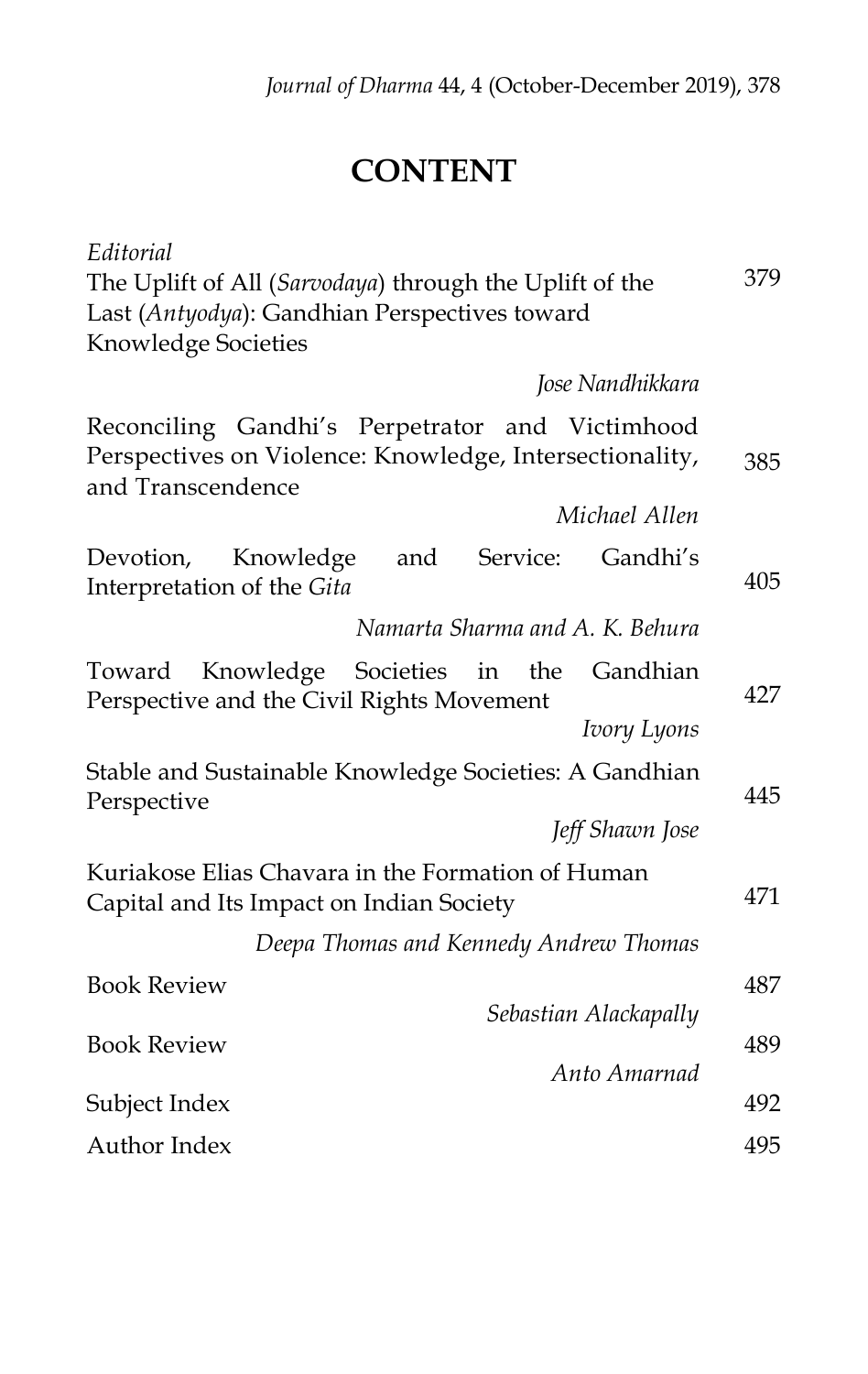# **CONTENT**

| Editorial                                                                                                                          |     |
|------------------------------------------------------------------------------------------------------------------------------------|-----|
| The Uplift of All (Sarvodaya) through the Uplift of the                                                                            | 379 |
| Last (Antyodya): Gandhian Perspectives toward                                                                                      |     |
| Knowledge Societies                                                                                                                |     |
| Jose Nandhikkara                                                                                                                   |     |
| Reconciling Gandhi's Perpetrator<br>and Victimhood<br>Perspectives on Violence: Knowledge, Intersectionality,<br>and Transcendence | 385 |
| Michael Allen                                                                                                                      |     |
| Gandhi's<br>Knowledge<br>and<br>Service:<br>Devotion,<br>Interpretation of the Gita                                                | 405 |
| Namarta Sharma and A. K. Behura                                                                                                    |     |
| Knowledge Societies in the<br>Gandhian<br>Toward<br>Perspective and the Civil Rights Movement<br>Ivory Lyons                       | 427 |
| Stable and Sustainable Knowledge Societies: A Gandhian                                                                             |     |
| Perspective                                                                                                                        | 445 |
| Jeff Shawn Jose                                                                                                                    |     |
| Kuriakose Elias Chavara in the Formation of Human<br>Capital and Its Impact on Indian Society                                      | 471 |
| Deepa Thomas and Kennedy Andrew Thomas                                                                                             |     |
| <b>Book Review</b>                                                                                                                 | 487 |
| Sebastian Alackapally                                                                                                              |     |
| <b>Book Review</b>                                                                                                                 | 489 |
| Anto Amarnad                                                                                                                       |     |
| Subject Index                                                                                                                      | 492 |
| Author Index                                                                                                                       | 495 |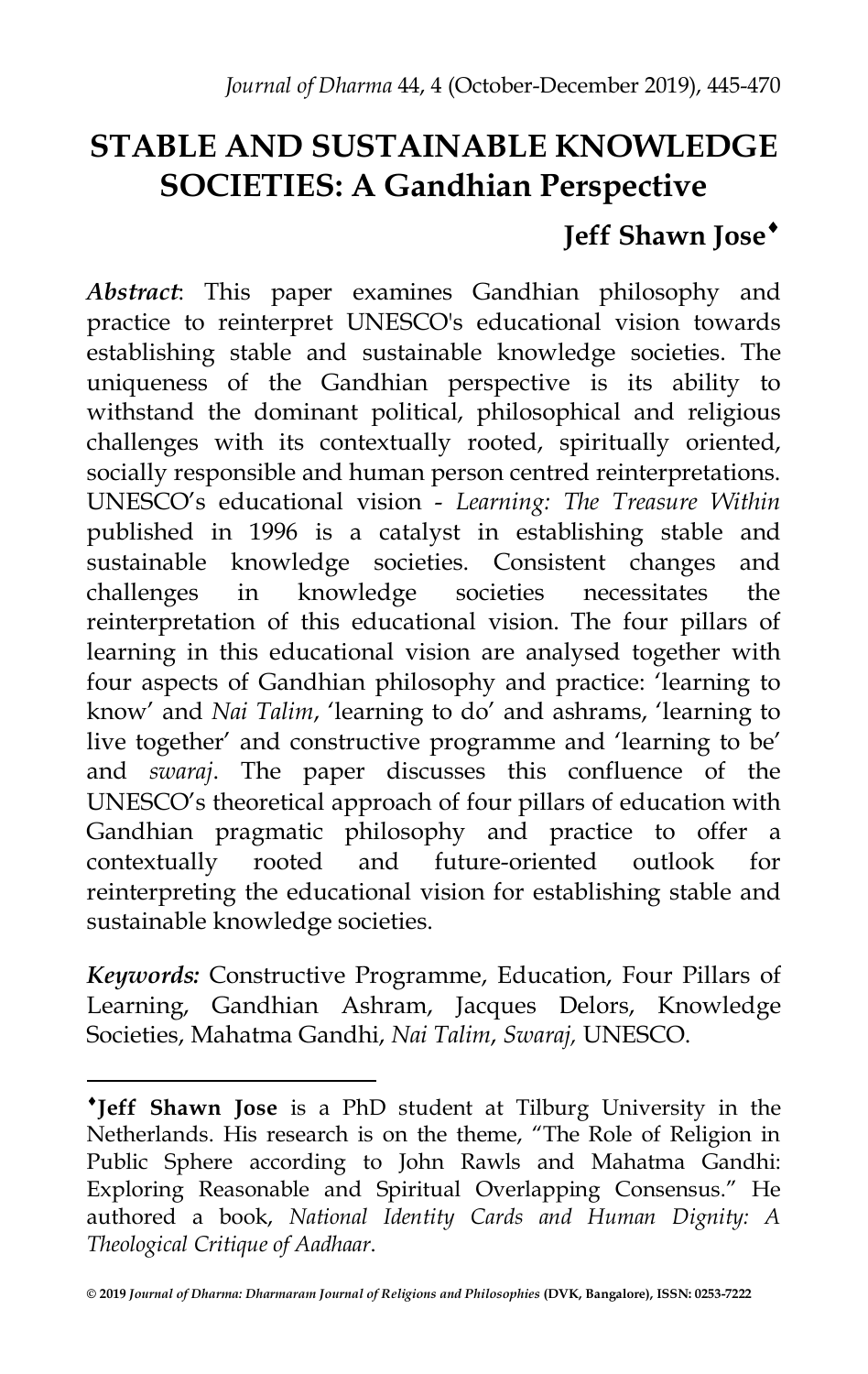## **STABLE AND SUSTAINABLE KNOWLEDGE SOCIETIES: A Gandhian Perspective**

## **Jeff Shawn Jose**<sup>\*</sup>

*Abstract*: This paper examines Gandhian philosophy and practice to reinterpret UNESCO's educational vision towards establishing stable and sustainable knowledge societies. The uniqueness of the Gandhian perspective is its ability to withstand the dominant political, philosophical and religious challenges with its contextually rooted, spiritually oriented, socially responsible and human person centred reinterpretations. UNESCO's educational vision - *Learning: The Treasure Within*  published in 1996 is a catalyst in establishing stable and sustainable knowledge societies. Consistent changes and challenges in knowledge societies necessitates the reinterpretation of this educational vision. The four pillars of learning in this educational vision are analysed together with four aspects of Gandhian philosophy and practice: 'learning to know' and *Nai Talim*, 'learning to do' and ashrams, 'learning to live together' and constructive programme and 'learning to be' and *swaraj*. The paper discusses this confluence of the UNESCO's theoretical approach of four pillars of education with Gandhian pragmatic philosophy and practice to offer a contextually rooted and future-oriented outlook for reinterpreting the educational vision for establishing stable and sustainable knowledge societies.

*Keywords:* Constructive Programme, Education, Four Pillars of Learning, Gandhian Ashram, Jacques Delors, Knowledge Societies, Mahatma Gandhi, *Nai Talim*, *Swaraj,* UNESCO.

<sup>i</sup>**Jeff Shawn Jose** is a PhD student at Tilburg University in the Netherlands. His research is on the theme, "The Role of Religion in Public Sphere according to John Rawls and Mahatma Gandhi: Exploring Reasonable and Spiritual Overlapping Consensus." He authored a book, *National Identity Cards and Human Dignity: A Theological Critique of Aadhaar*.

**<sup>© 2019</sup>** *Journal of Dharma: Dharmaram Journal of Religions and Philosophies* **(DVK, Bangalore), ISSN: 0253-7222**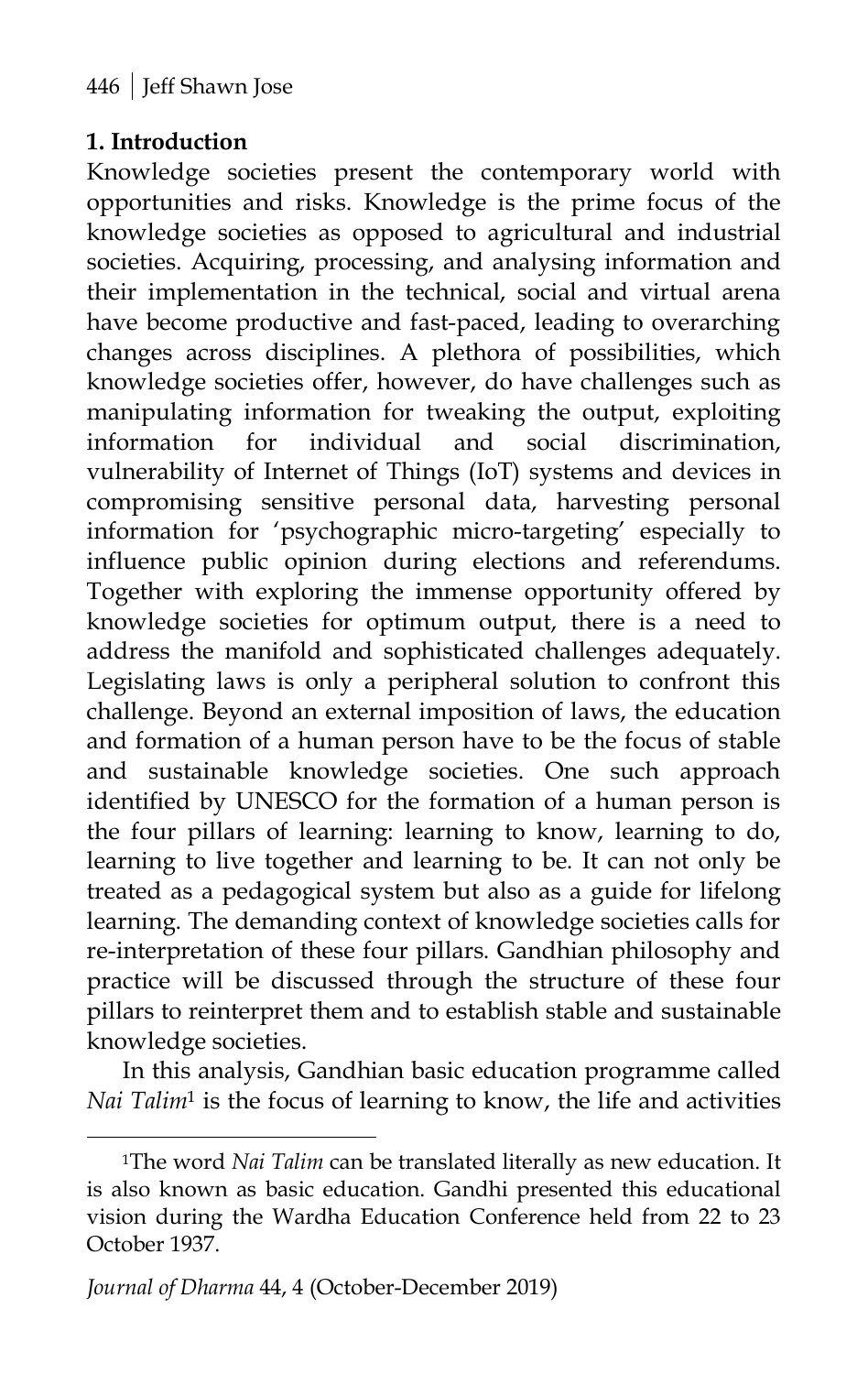#### **1. Introduction**

Knowledge societies present the contemporary world with opportunities and risks. Knowledge is the prime focus of the knowledge societies as opposed to agricultural and industrial societies. Acquiring, processing, and analysing information and their implementation in the technical, social and virtual arena have become productive and fast-paced, leading to overarching changes across disciplines. A plethora of possibilities, which knowledge societies offer, however, do have challenges such as manipulating information for tweaking the output, exploiting information for individual and social discrimination, vulnerability of Internet of Things (IoT) systems and devices in compromising sensitive personal data, harvesting personal information for 'psychographic micro-targeting' especially to influence public opinion during elections and referendums. Together with exploring the immense opportunity offered by knowledge societies for optimum output, there is a need to address the manifold and sophisticated challenges adequately. Legislating laws is only a peripheral solution to confront this challenge. Beyond an external imposition of laws, the education and formation of a human person have to be the focus of stable and sustainable knowledge societies. One such approach identified by UNESCO for the formation of a human person is the four pillars of learning: learning to know, learning to do, learning to live together and learning to be. It can not only be treated as a pedagogical system but also as a guide for lifelong learning. The demanding context of knowledge societies calls for re-interpretation of these four pillars. Gandhian philosophy and practice will be discussed through the structure of these four pillars to reinterpret them and to establish stable and sustainable knowledge societies.

In this analysis, Gandhian basic education programme called *Nai Talim*<sup>1</sup> is the focus of learning to know, the life and activities

<sup>&</sup>lt;sup>1</sup>The word *Nai Talim* can be translated literally as new education. It is also known as basic education. Gandhi presented this educational vision during the Wardha Education Conference held from 22 to 23 October 1937.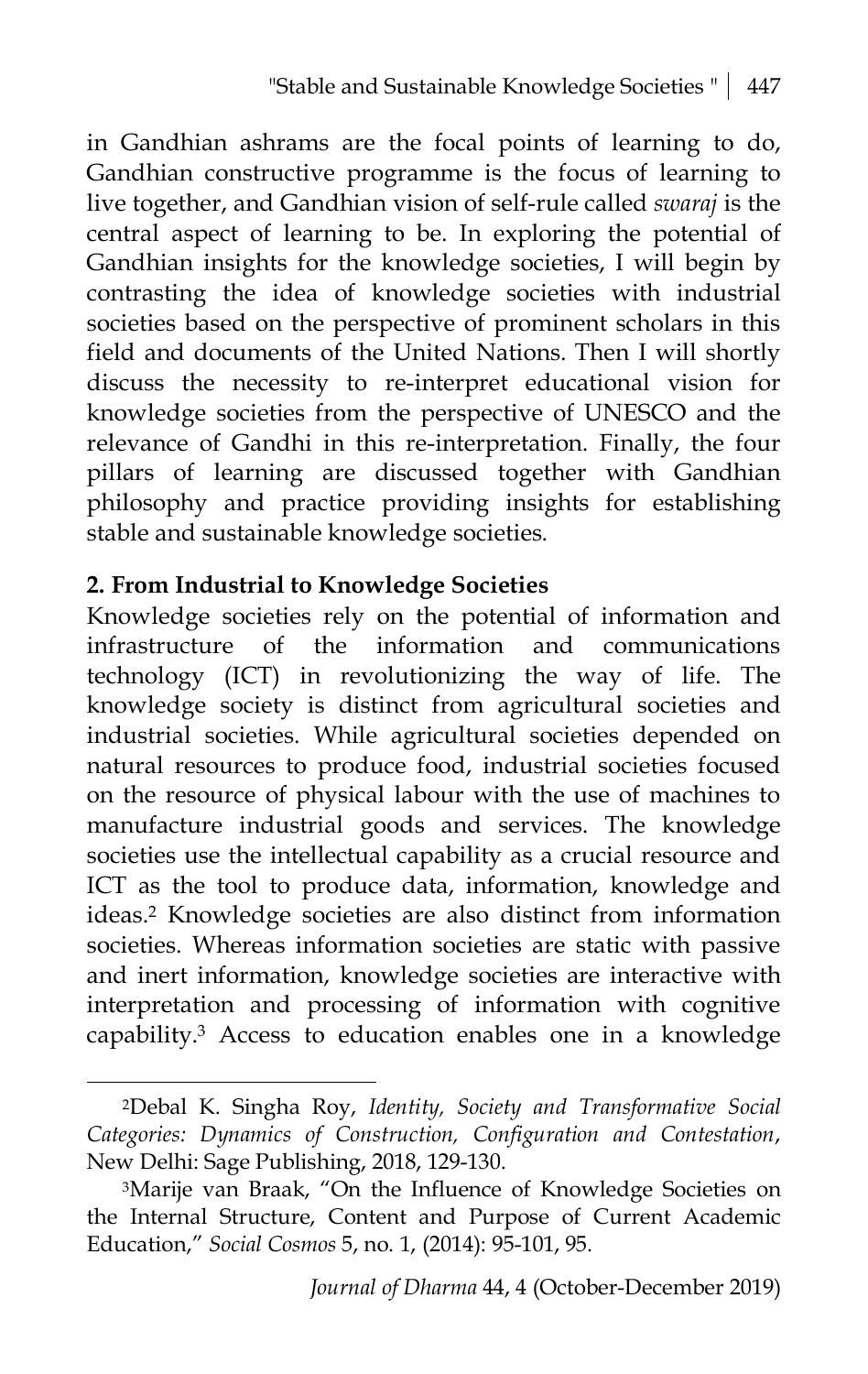in Gandhian ashrams are the focal points of learning to do, Gandhian constructive programme is the focus of learning to live together, and Gandhian vision of self-rule called *swaraj* is the central aspect of learning to be. In exploring the potential of Gandhian insights for the knowledge societies, I will begin by contrasting the idea of knowledge societies with industrial societies based on the perspective of prominent scholars in this field and documents of the United Nations. Then I will shortly discuss the necessity to re-interpret educational vision for knowledge societies from the perspective of UNESCO and the relevance of Gandhi in this re-interpretation. Finally, the four pillars of learning are discussed together with Gandhian philosophy and practice providing insights for establishing stable and sustainable knowledge societies.

#### **2. From Industrial to Knowledge Societies**

 $\overline{a}$ 

Knowledge societies rely on the potential of information and infrastructure of the information and communications technology (ICT) in revolutionizing the way of life. The knowledge society is distinct from agricultural societies and industrial societies. While agricultural societies depended on natural resources to produce food, industrial societies focused on the resource of physical labour with the use of machines to manufacture industrial goods and services. The knowledge societies use the intellectual capability as a crucial resource and ICT as the tool to produce data, information, knowledge and ideas.2 Knowledge societies are also distinct from information societies. Whereas information societies are static with passive and inert information, knowledge societies are interactive with interpretation and processing of information with cognitive capability.3 Access to education enables one in a knowledge

<sup>2</sup>Debal K. Singha Roy, *Identity, Society and Transformative Social Categories: Dynamics of Construction, Configuration and Contestation*, New Delhi: Sage Publishing, 2018, 129-130.

<sup>&</sup>lt;sup>3</sup>Marije van Braak, "On the Influence of Knowledge Societies on the Internal Structure, Content and Purpose of Current Academic Education," *Social Cosmos* 5, no. 1, (2014): 95-101, 95.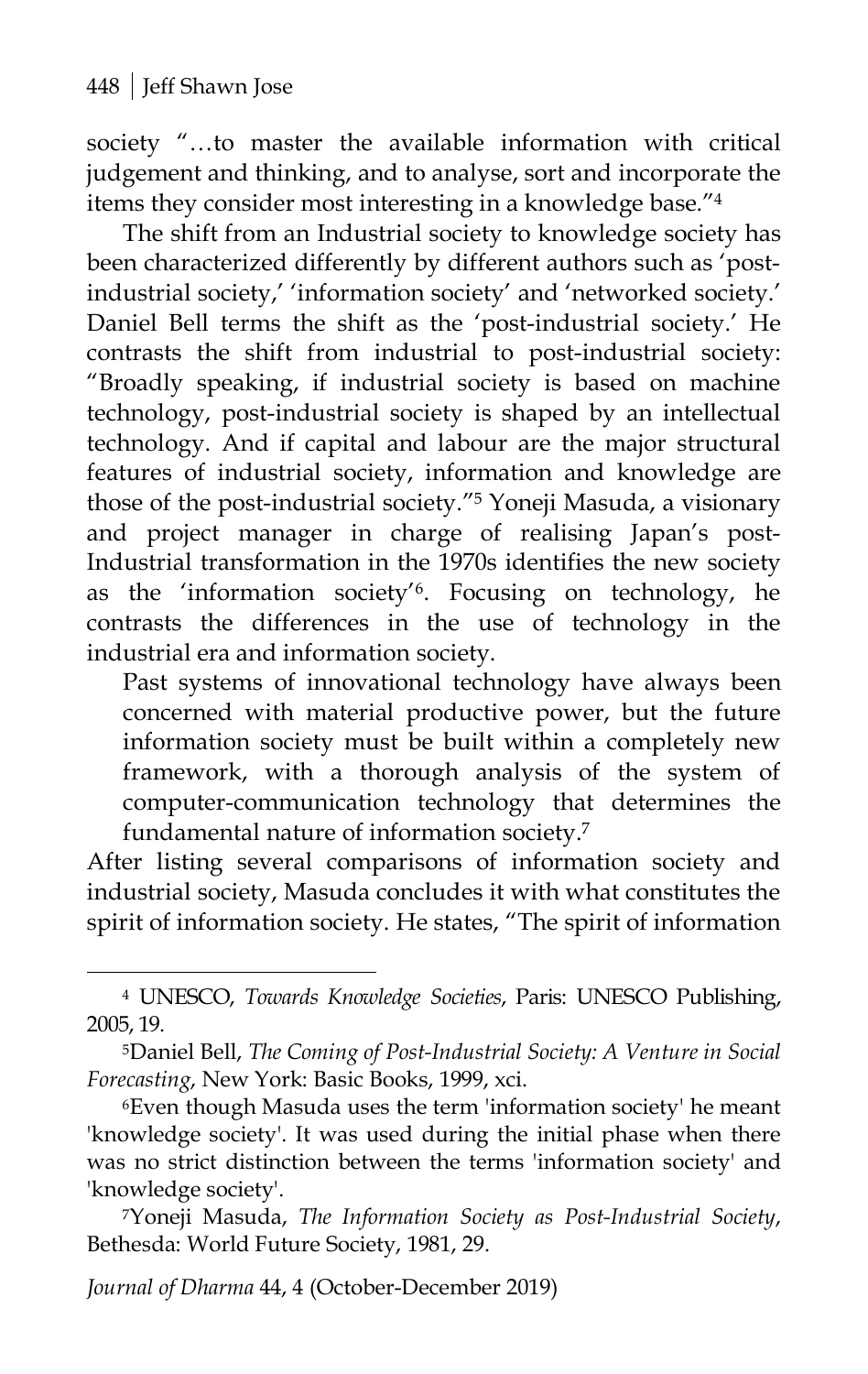$\overline{a}$ 

society "…to master the available information with critical judgement and thinking, and to analyse, sort and incorporate the items they consider most interesting in a knowledge base."4

The shift from an Industrial society to knowledge society has been characterized differently by different authors such as 'postindustrial society,' 'information society' and 'networked society.' Daniel Bell terms the shift as the 'post-industrial society.' He contrasts the shift from industrial to post-industrial society: "Broadly speaking, if industrial society is based on machine technology, post-industrial society is shaped by an intellectual technology. And if capital and labour are the major structural features of industrial society, information and knowledge are those of the post-industrial society."5 Yoneji Masuda, a visionary and project manager in charge of realising Japan's post-Industrial transformation in the 1970s identifies the new society as the 'information society'6. Focusing on technology, he contrasts the differences in the use of technology in the industrial era and information society.

Past systems of innovational technology have always been concerned with material productive power, but the future information society must be built within a completely new framework, with a thorough analysis of the system of computer-communication technology that determines the fundamental nature of information society.7

After listing several comparisons of information society and industrial society, Masuda concludes it with what constitutes the spirit of information society. He states, "The spirit of information

*Journal of Dharma* 44, 4 (October-December 2019)

<sup>4</sup> UNESCO, *Towards Knowledge Societies*, Paris: UNESCO Publishing, 2005, 19.

<sup>5</sup>Daniel Bell, *The Coming of Post-Industrial Society: A Venture in Social Forecasting*, New York: Basic Books, 1999, xci.

<sup>6</sup>Even though Masuda uses the term 'information society' he meant 'knowledge society'. It was used during the initial phase when there was no strict distinction between the terms 'information society' and 'knowledge society'.

<sup>7</sup>Yoneji Masuda, *The Information Society as Post-Industrial Society*, Bethesda: World Future Society, 1981, 29.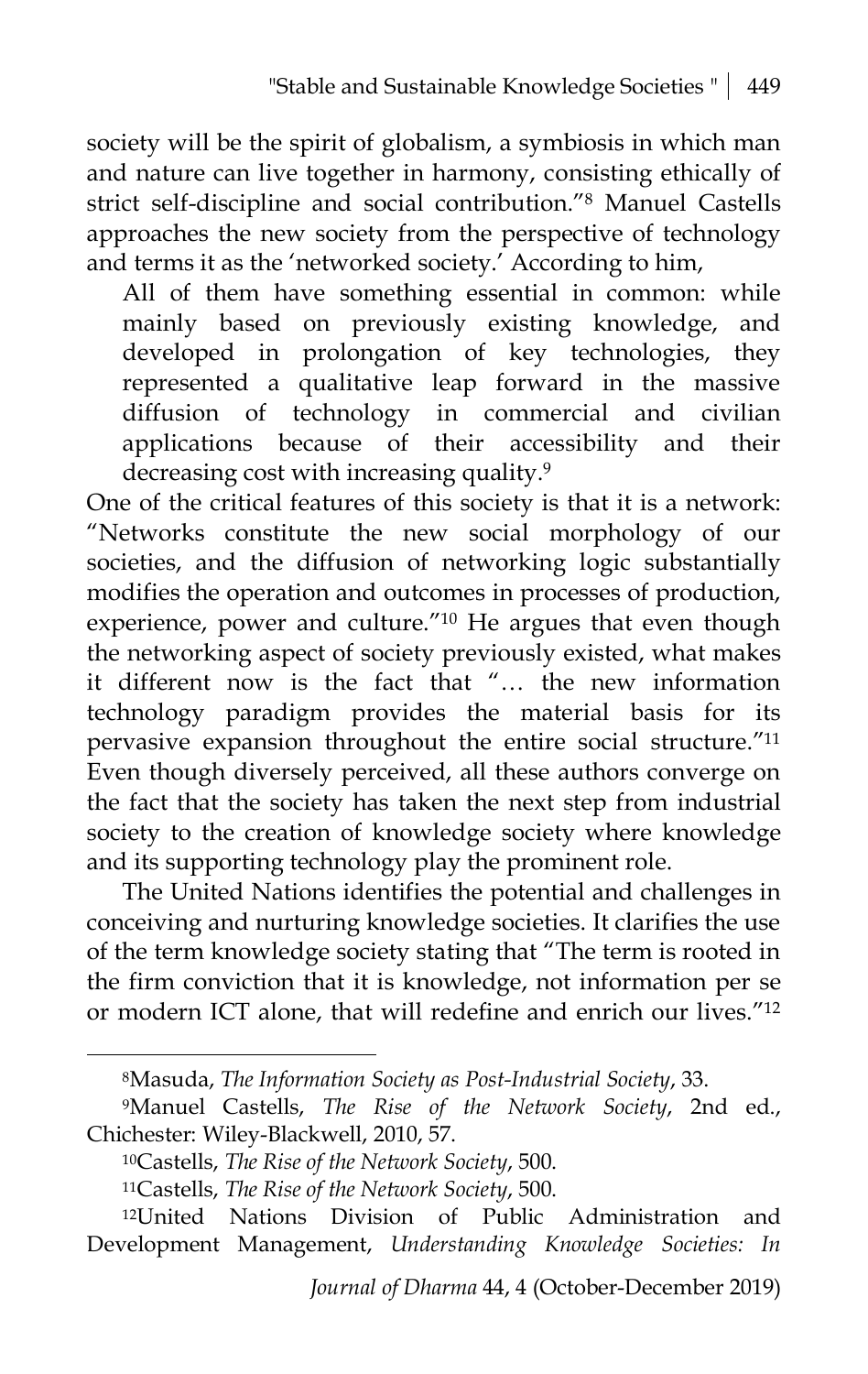society will be the spirit of globalism, a symbiosis in which man and nature can live together in harmony, consisting ethically of strict self-discipline and social contribution."8 Manuel Castells approaches the new society from the perspective of technology and terms it as the 'networked society.' According to him,

All of them have something essential in common: while mainly based on previously existing knowledge, and developed in prolongation of key technologies, they represented a qualitative leap forward in the massive diffusion of technology in commercial and civilian applications because of their accessibility and their decreasing cost with increasing quality.9

One of the critical features of this society is that it is a network: "Networks constitute the new social morphology of our societies, and the diffusion of networking logic substantially modifies the operation and outcomes in processes of production, experience, power and culture."10 He argues that even though the networking aspect of society previously existed, what makes it different now is the fact that "… the new information technology paradigm provides the material basis for its pervasive expansion throughout the entire social structure."11 Even though diversely perceived, all these authors converge on the fact that the society has taken the next step from industrial society to the creation of knowledge society where knowledge and its supporting technology play the prominent role.

The United Nations identifies the potential and challenges in conceiving and nurturing knowledge societies. It clarifies the use of the term knowledge society stating that "The term is rooted in the firm conviction that it is knowledge, not information per se or modern ICT alone, that will redefine and enrich our lives."12

<sup>8</sup>Masuda, *The Information Society as Post-Industrial Society*, 33.

<sup>9</sup>Manuel Castells, *The Rise of the Network Society*, 2nd ed., Chichester: Wiley-Blackwell, 2010, 57.

<sup>10</sup>Castells, *The Rise of the Network Society*, 500.

<sup>11</sup>Castells, *The Rise of the Network Society*, 500.

<sup>12</sup>United Nations Division of Public Administration and Development Management, *Understanding Knowledge Societies: In*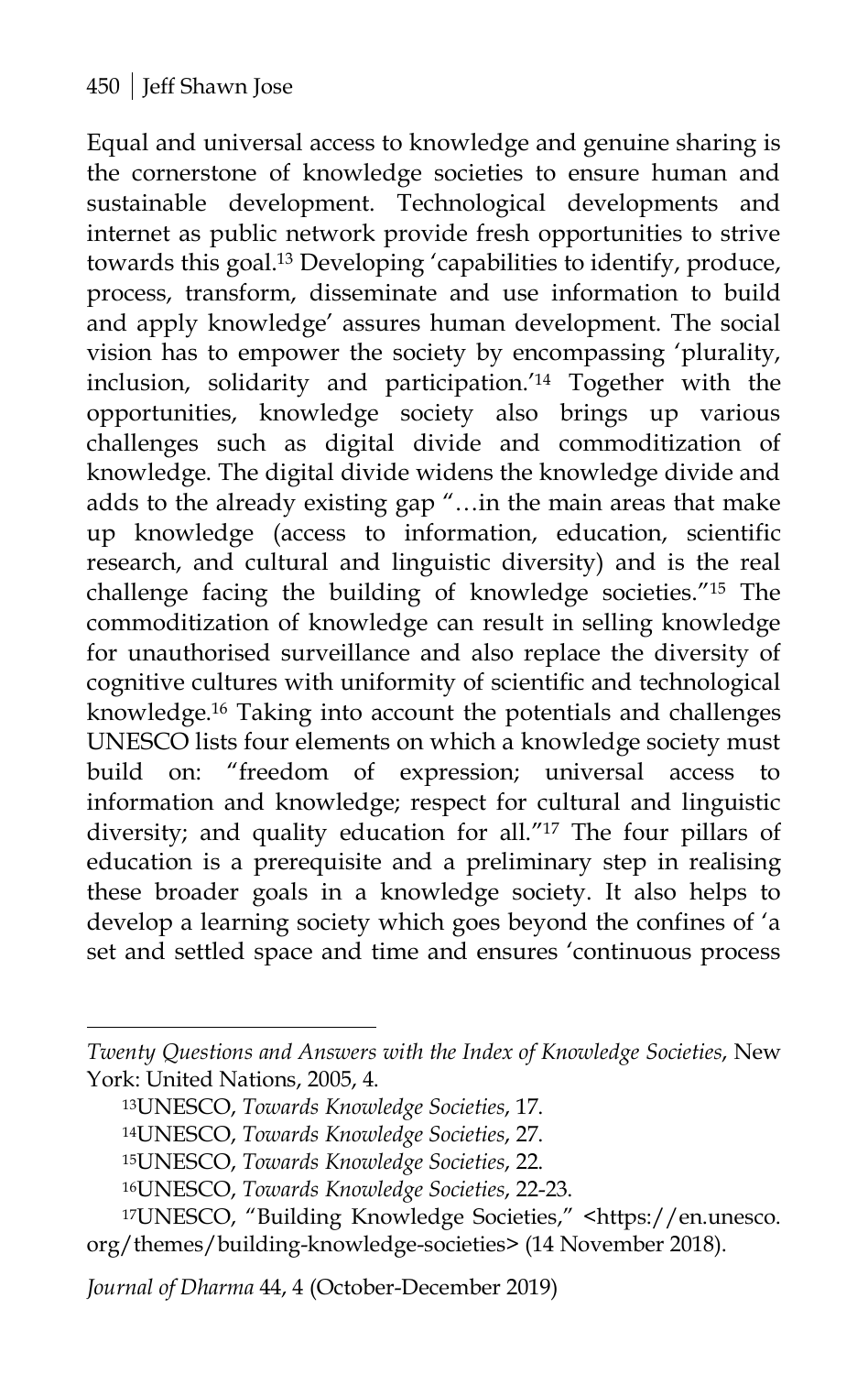Equal and universal access to knowledge and genuine sharing is the cornerstone of knowledge societies to ensure human and sustainable development. Technological developments and internet as public network provide fresh opportunities to strive towards this goal.13 Developing 'capabilities to identify, produce, process, transform, disseminate and use information to build and apply knowledge' assures human development. The social vision has to empower the society by encompassing 'plurality, inclusion, solidarity and participation.' <sup>14</sup> Together with the opportunities, knowledge society also brings up various challenges such as digital divide and commoditization of knowledge. The digital divide widens the knowledge divide and adds to the already existing gap "…in the main areas that make up knowledge (access to information, education, scientific research, and cultural and linguistic diversity) and is the real challenge facing the building of knowledge societies."15 The commoditization of knowledge can result in selling knowledge for unauthorised surveillance and also replace the diversity of cognitive cultures with uniformity of scientific and technological knowledge.16 Taking into account the potentials and challenges UNESCO lists four elements on which a knowledge society must build on: "freedom of expression; universal access to information and knowledge; respect for cultural and linguistic diversity; and quality education for all."17 The four pillars of education is a prerequisite and a preliminary step in realising these broader goals in a knowledge society. It also helps to develop a learning society which goes beyond the confines of 'a set and settled space and time and ensures 'continuous process

*Twenty Questions and Answers with the Index of Knowledge Societies*, New York: United Nations, 2005, 4.

<sup>13</sup>UNESCO, *Towards Knowledge Societies*, 17.

<sup>14</sup>UNESCO, *Towards Knowledge Societies*, 27.

<sup>15</sup>UNESCO, *Towards Knowledge Societies*, 22.

<sup>16</sup>UNESCO, *Towards Knowledge Societies*, 22-23.

<sup>17</sup>UNESCO, "Building Knowledge Societies," [<https://en.unesco.](https://en.unesco.) org/themes/building-knowledge-societies> (14 November 2018).

*Journal of Dharma* 44, 4 (October-December 2019)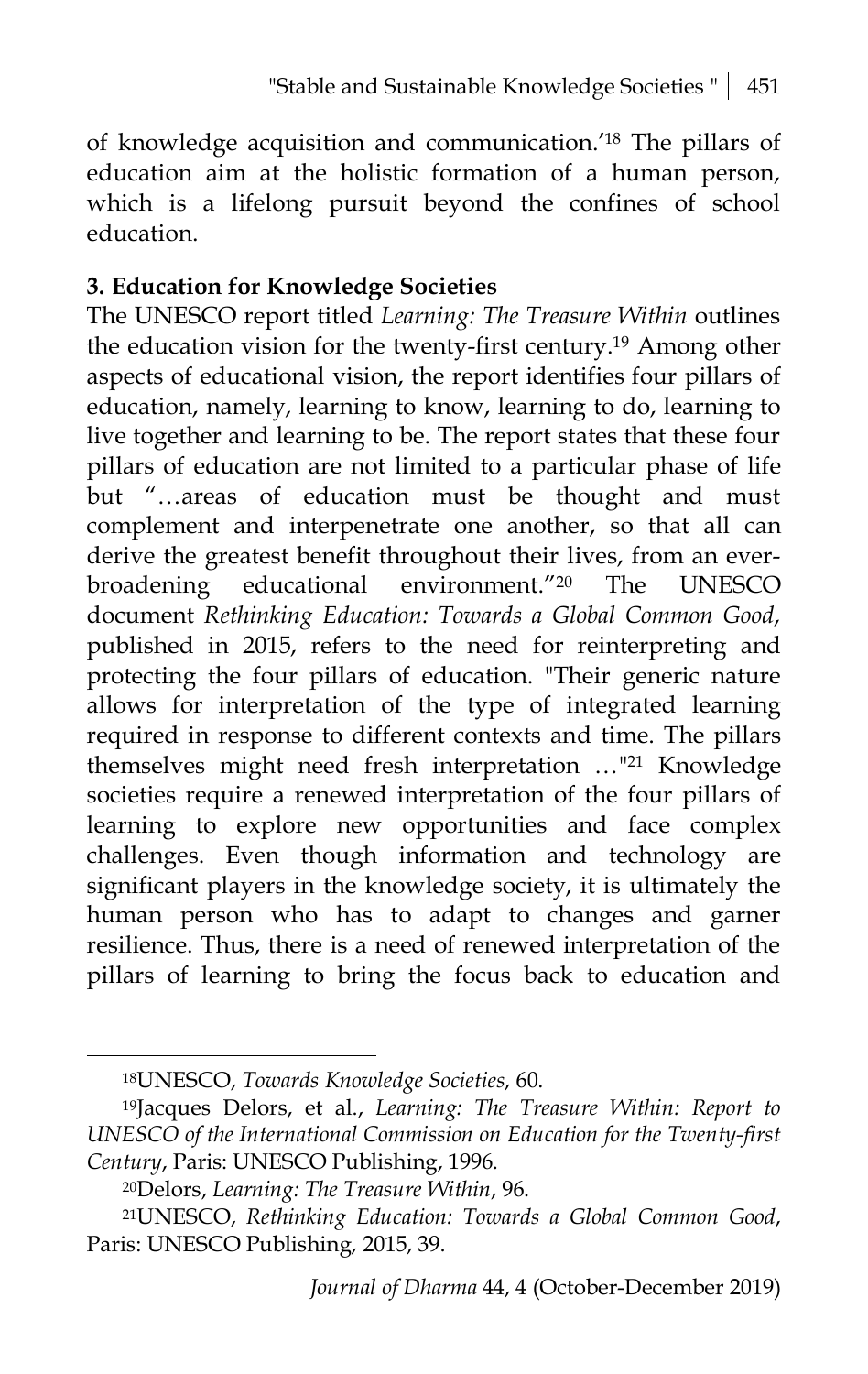of knowledge acquisition and communication.'18 The pillars of education aim at the holistic formation of a human person, which is a lifelong pursuit beyond the confines of school education.

#### **3. Education for Knowledge Societies**

The UNESCO report titled *Learning: The Treasure Within* outlines the education vision for the twenty-first century.19 Among other aspects of educational vision, the report identifies four pillars of education, namely, learning to know, learning to do, learning to live together and learning to be. The report states that these four pillars of education are not limited to a particular phase of life but "…areas of education must be thought and must complement and interpenetrate one another, so that all can derive the greatest benefit throughout their lives, from an everbroadening educational environment."20 The UNESCO document *Rethinking Education: Towards a Global Common Good*, published in 2015, refers to the need for reinterpreting and protecting the four pillars of education. "Their generic nature allows for interpretation of the type of integrated learning required in response to different contexts and time. The pillars themselves might need fresh interpretation …"21 Knowledge societies require a renewed interpretation of the four pillars of learning to explore new opportunities and face complex challenges. Even though information and technology are significant players in the knowledge society, it is ultimately the human person who has to adapt to changes and garner resilience. Thus, there is a need of renewed interpretation of the pillars of learning to bring the focus back to education and

<sup>18</sup>UNESCO, *Towards Knowledge Societies*, 60.

<sup>19</sup>Jacques Delors, et al., *Learning: The Treasure Within: Report to UNESCO of the International Commission on Education for the Twenty-first Century*, Paris: UNESCO Publishing, 1996.

<sup>20</sup>Delors, *Learning: The Treasure Within*, 96.

<sup>21</sup>UNESCO, *Rethinking Education: Towards a Global Common Good*, Paris: UNESCO Publishing, 2015, 39.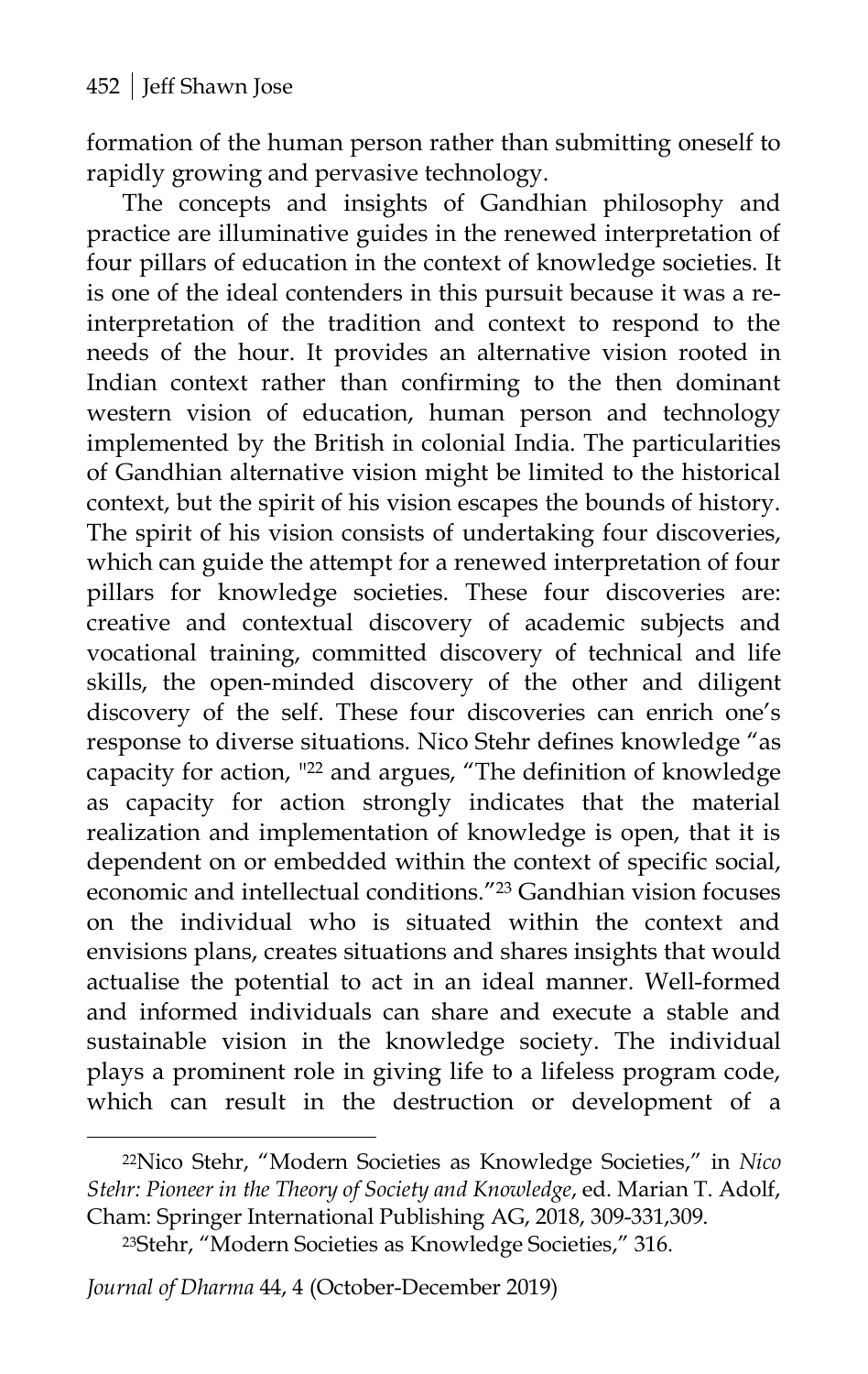formation of the human person rather than submitting oneself to rapidly growing and pervasive technology.

The concepts and insights of Gandhian philosophy and practice are illuminative guides in the renewed interpretation of four pillars of education in the context of knowledge societies. It is one of the ideal contenders in this pursuit because it was a reinterpretation of the tradition and context to respond to the needs of the hour. It provides an alternative vision rooted in Indian context rather than confirming to the then dominant western vision of education, human person and technology implemented by the British in colonial India. The particularities of Gandhian alternative vision might be limited to the historical context, but the spirit of his vision escapes the bounds of history. The spirit of his vision consists of undertaking four discoveries, which can guide the attempt for a renewed interpretation of four pillars for knowledge societies. These four discoveries are: creative and contextual discovery of academic subjects and vocational training, committed discovery of technical and life skills, the open-minded discovery of the other and diligent discovery of the self. These four discoveries can enrich one's response to diverse situations. Nico Stehr defines knowledge "as capacity for action, "22 and argues, "The definition of knowledge as capacity for action strongly indicates that the material realization and implementation of knowledge is open, that it is dependent on or embedded within the context of specific social, economic and intellectual conditions."23 Gandhian vision focuses on the individual who is situated within the context and envisions plans, creates situations and shares insights that would actualise the potential to act in an ideal manner. Well-formed and informed individuals can share and execute a stable and sustainable vision in the knowledge society. The individual plays a prominent role in giving life to a lifeless program code, which can result in the destruction or development of a

*Journal of Dharma* 44, 4 (October-December 2019)

<sup>22</sup>Nico Stehr, "Modern Societies as Knowledge Societies," in *Nico Stehr: Pioneer in the Theory of Society and Knowledge*, ed. Marian T. Adolf, Cham: Springer International Publishing AG, 2018, 309-331,309.

<sup>23</sup>Stehr, "Modern Societies as Knowledge Societies," 316.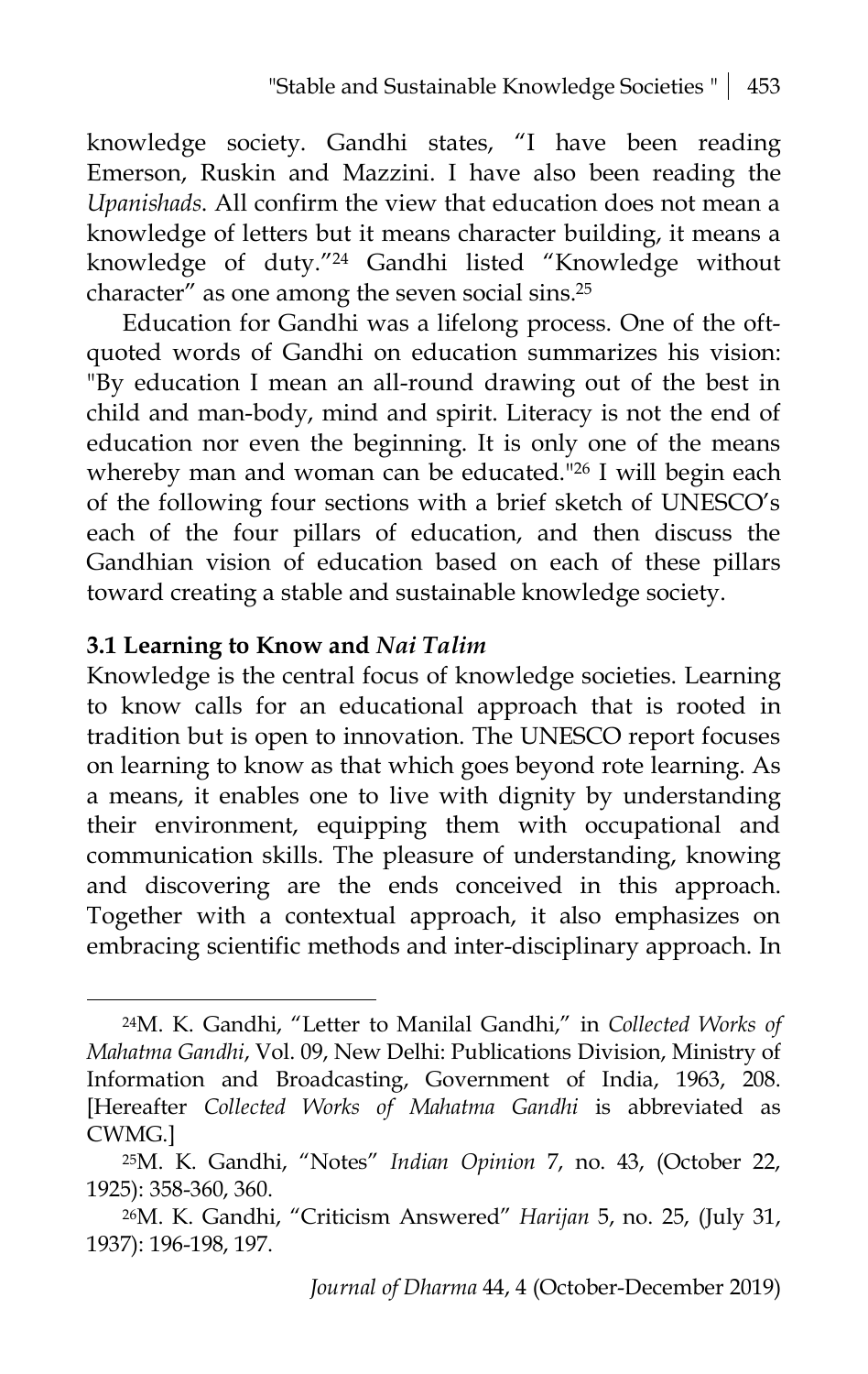knowledge society. Gandhi states, "I have been reading Emerson, Ruskin and Mazzini. I have also been reading the *Upanishads*. All confirm the view that education does not mean a knowledge of letters but it means character building, it means a knowledge of duty."24 Gandhi listed "Knowledge without character" as one among the seven social sins.25

Education for Gandhi was a lifelong process. One of the oftquoted words of Gandhi on education summarizes his vision: "By education I mean an all-round drawing out of the best in child and man-body, mind and spirit. Literacy is not the end of education nor even the beginning. It is only one of the means whereby man and woman can be educated."26 I will begin each of the following four sections with a brief sketch of UNESCO's each of the four pillars of education, and then discuss the Gandhian vision of education based on each of these pillars toward creating a stable and sustainable knowledge society.

#### **3.1 Learning to Know and** *Nai Talim*

 $\overline{a}$ 

Knowledge is the central focus of knowledge societies. Learning to know calls for an educational approach that is rooted in tradition but is open to innovation. The UNESCO report focuses on learning to know as that which goes beyond rote learning. As a means, it enables one to live with dignity by understanding their environment, equipping them with occupational and communication skills. The pleasure of understanding, knowing and discovering are the ends conceived in this approach. Together with a contextual approach, it also emphasizes on embracing scientific methods and inter-disciplinary approach. In

<sup>24</sup>M. K. Gandhi, "Letter to Manilal Gandhi," in *Collected Works of Mahatma Gandhi*, Vol. 09, New Delhi: Publications Division, Ministry of Information and Broadcasting, Government of India, 1963, 208. [Hereafter *Collected Works of Mahatma Gandhi* is abbreviated as CWMG.]

<sup>25</sup>M. K. Gandhi, "Notes" *Indian Opinion* 7, no. 43, (October 22, 1925): 358-360, 360.

<sup>26</sup>M. K. Gandhi, "Criticism Answered" *Harijan* 5, no. 25, (July 31, 1937): 196-198, 197.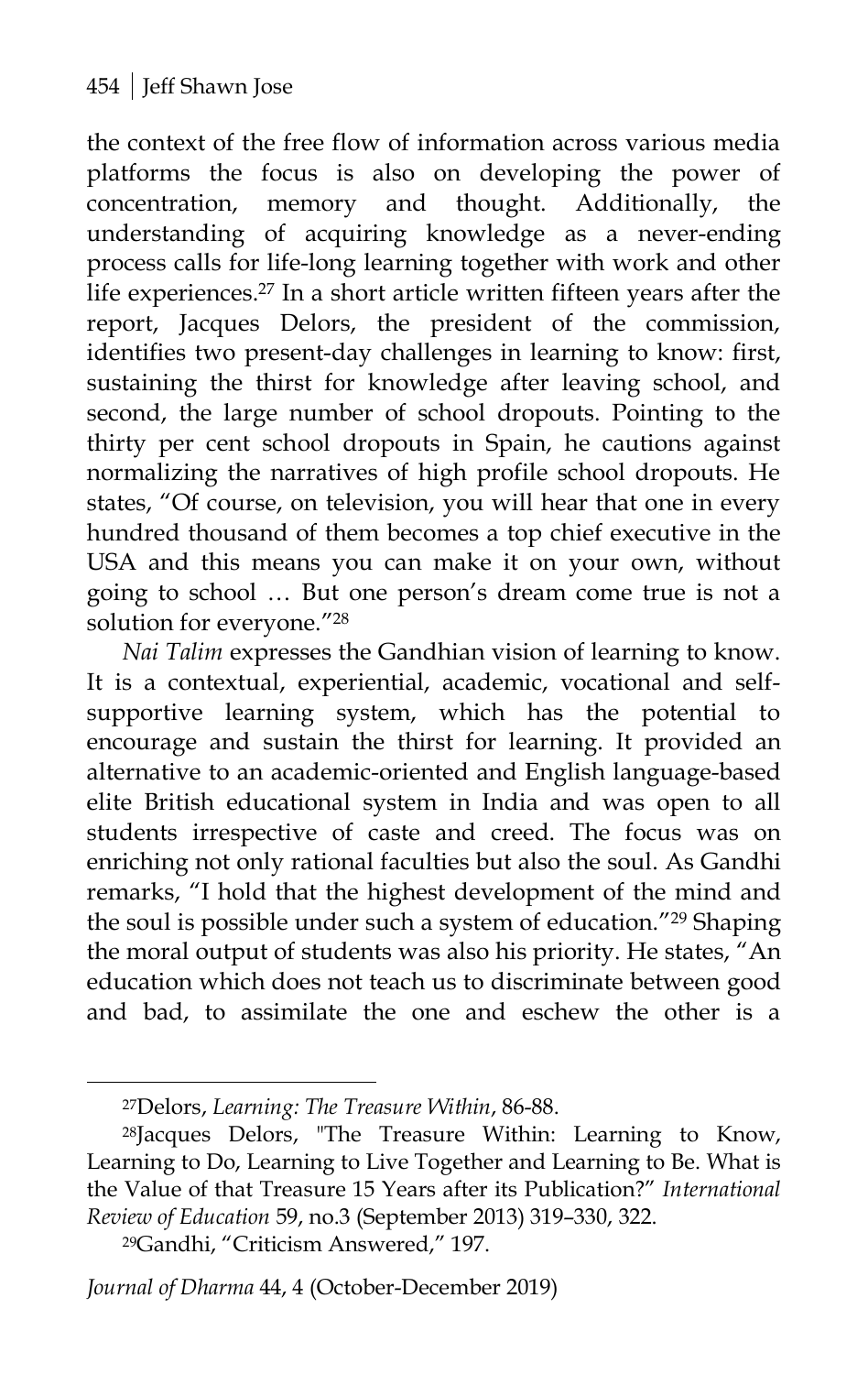the context of the free flow of information across various media platforms the focus is also on developing the power of concentration, memory and thought. Additionally, the understanding of acquiring knowledge as a never-ending process calls for life-long learning together with work and other life experiences. <sup>27</sup> In a short article written fifteen years after the report, Jacques Delors, the president of the commission, identifies two present-day challenges in learning to know: first, sustaining the thirst for knowledge after leaving school, and second, the large number of school dropouts. Pointing to the thirty per cent school dropouts in Spain, he cautions against normalizing the narratives of high profile school dropouts. He states, "Of course, on television, you will hear that one in every hundred thousand of them becomes a top chief executive in the USA and this means you can make it on your own, without going to school … But one person's dream come true is not a solution for everyone."28

*Nai Talim* expresses the Gandhian vision of learning to know. It is a contextual, experiential, academic, vocational and selfsupportive learning system, which has the potential to encourage and sustain the thirst for learning. It provided an alternative to an academic-oriented and English language-based elite British educational system in India and was open to all students irrespective of caste and creed. The focus was on enriching not only rational faculties but also the soul. As Gandhi remarks, "I hold that the highest development of the mind and the soul is possible under such a system of education."29 Shaping the moral output of students was also his priority. He states, "An education which does not teach us to discriminate between good and bad, to assimilate the one and eschew the other is a

<sup>27</sup>Delors, *Learning: The Treasure Within*, 86-88.

<sup>28</sup>Jacques Delors, "The Treasure Within: Learning to Know, Learning to Do, Learning to Live Together and Learning to Be. What is the Value of that Treasure 15 Years after its Publication?" *International Review of Education* 59, no.3 (September 2013) 319–330, 322.

<sup>29</sup>Gandhi, "Criticism Answered," 197.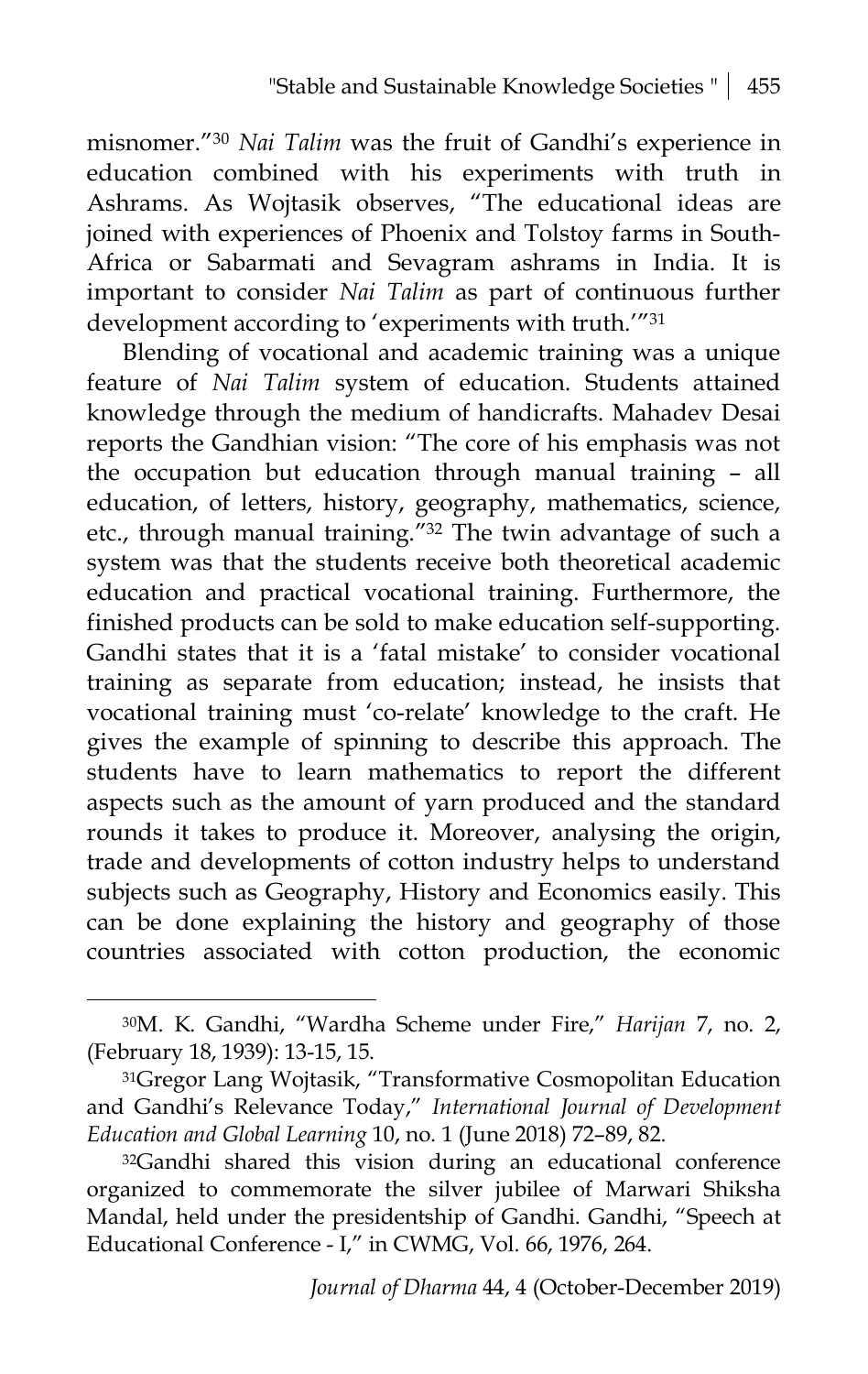misnomer."30 *Nai Talim* was the fruit of Gandhi's experience in education combined with his experiments with truth in Ashrams. As Wojtasik observes, "The educational ideas are joined with experiences of Phoenix and Tolstoy farms in South-Africa or Sabarmati and Sevagram ashrams in India. It is important to consider *Nai Talim* as part of continuous further development according to 'experiments with truth."<sup>31</sup>

Blending of vocational and academic training was a unique feature of *Nai Talim* system of education. Students attained knowledge through the medium of handicrafts. Mahadev Desai reports the Gandhian vision: "The core of his emphasis was not the occupation but education through manual training – all education, of letters, history, geography, mathematics, science, etc., through manual training."32 The twin advantage of such a system was that the students receive both theoretical academic education and practical vocational training. Furthermore, the finished products can be sold to make education self-supporting. Gandhi states that it is a 'fatal mistake' to consider vocational training as separate from education; instead, he insists that vocational training must 'co-relate' knowledge to the craft. He gives the example of spinning to describe this approach. The students have to learn mathematics to report the different aspects such as the amount of yarn produced and the standard rounds it takes to produce it. Moreover, analysing the origin, trade and developments of cotton industry helps to understand subjects such as Geography, History and Economics easily. This can be done explaining the history and geography of those countries associated with cotton production, the economic

<sup>30</sup>M. K. Gandhi, "Wardha Scheme under Fire," *Harijan* 7, no. 2, (February 18, 1939): 13-15, 15.

<sup>31</sup>Gregor Lang Wojtasik, "Transformative Cosmopolitan Education and Gandhi's Relevance Today," *International Journal of Development Education and Global Learning* 10, no. 1 (June 2018) 72–89, 82.

<sup>32</sup>Gandhi shared this vision during an educational conference organized to commemorate the silver jubilee of Marwari Shiksha Mandal, held under the presidentship of Gandhi. Gandhi, "Speech at Educational Conference - I," in CWMG, Vol. 66, 1976, 264.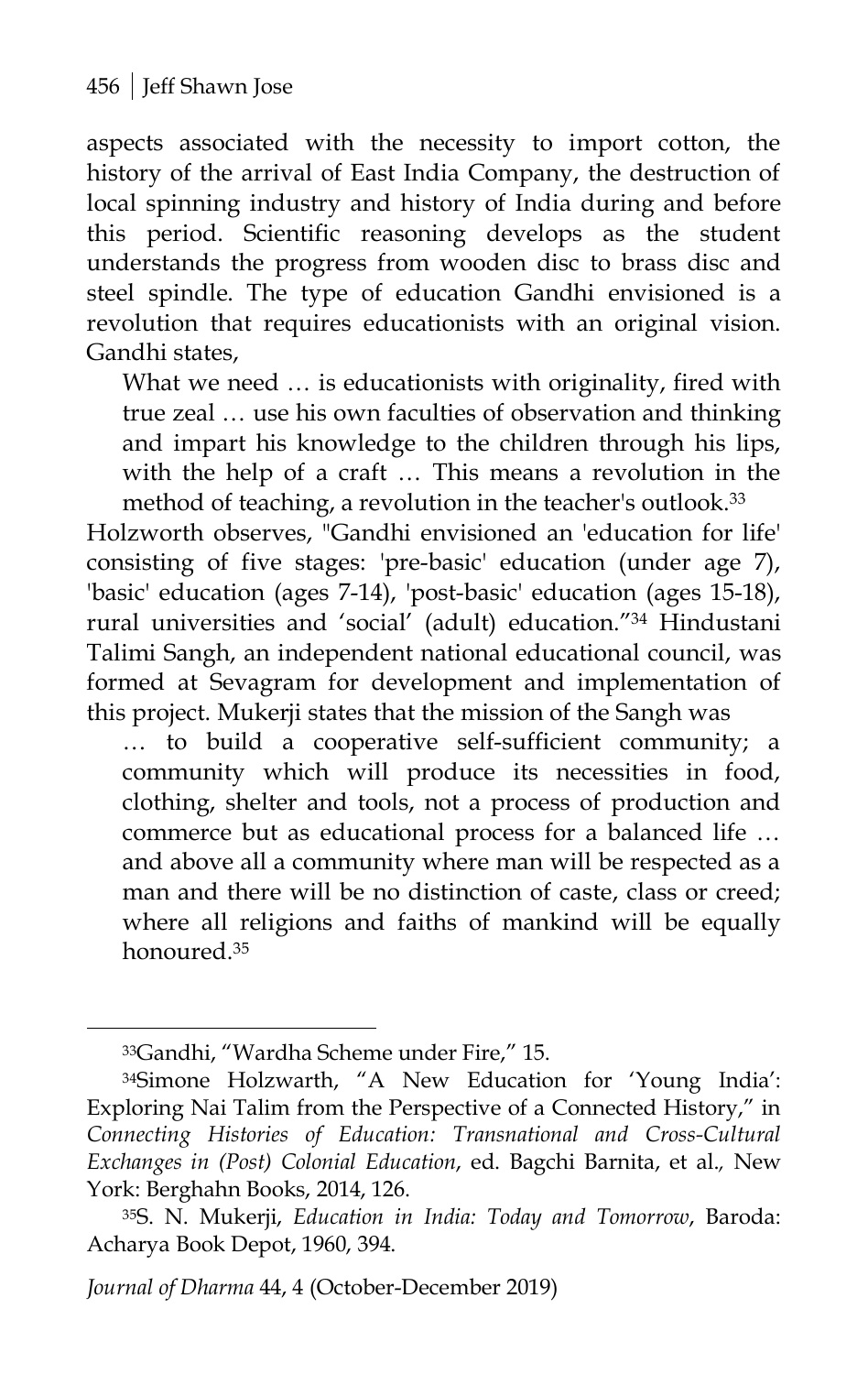aspects associated with the necessity to import cotton, the history of the arrival of East India Company, the destruction of local spinning industry and history of India during and before this period. Scientific reasoning develops as the student understands the progress from wooden disc to brass disc and steel spindle. The type of education Gandhi envisioned is a revolution that requires educationists with an original vision. Gandhi states,

What we need … is educationists with originality, fired with true zeal … use his own faculties of observation and thinking and impart his knowledge to the children through his lips, with the help of a craft … This means a revolution in the method of teaching, a revolution in the teacher's outlook.33

Holzworth observes, "Gandhi envisioned an 'education for life' consisting of five stages: 'pre-basic' education (under age 7), 'basic' education (ages 7-14), 'post-basic' education (ages 15-18), rural universities and 'social' (adult) education."34 Hindustani Talimi Sangh, an independent national educational council, was formed at Sevagram for development and implementation of this project. Mukerji states that the mission of the Sangh was

… to build a cooperative self-sufficient community; a community which will produce its necessities in food, clothing, shelter and tools, not a process of production and commerce but as educational process for a balanced life … and above all a community where man will be respected as a man and there will be no distinction of caste, class or creed; where all religions and faiths of mankind will be equally honoured.35

<sup>33</sup>Gandhi, "Wardha Scheme under Fire," 15.

<sup>34</sup>Simone Holzwarth, "A New Education for 'Young India': Exploring Nai Talim from the Perspective of a Connected History," in *Connecting Histories of Education: Transnational and Cross-Cultural Exchanges in (Post) Colonial Education*, ed. Bagchi Barnita, et al.*,* New York: Berghahn Books, 2014, 126.

<sup>35</sup>S. N. Mukerji, *Education in India: Today and Tomorrow*, Baroda: Acharya Book Depot, 1960, 394.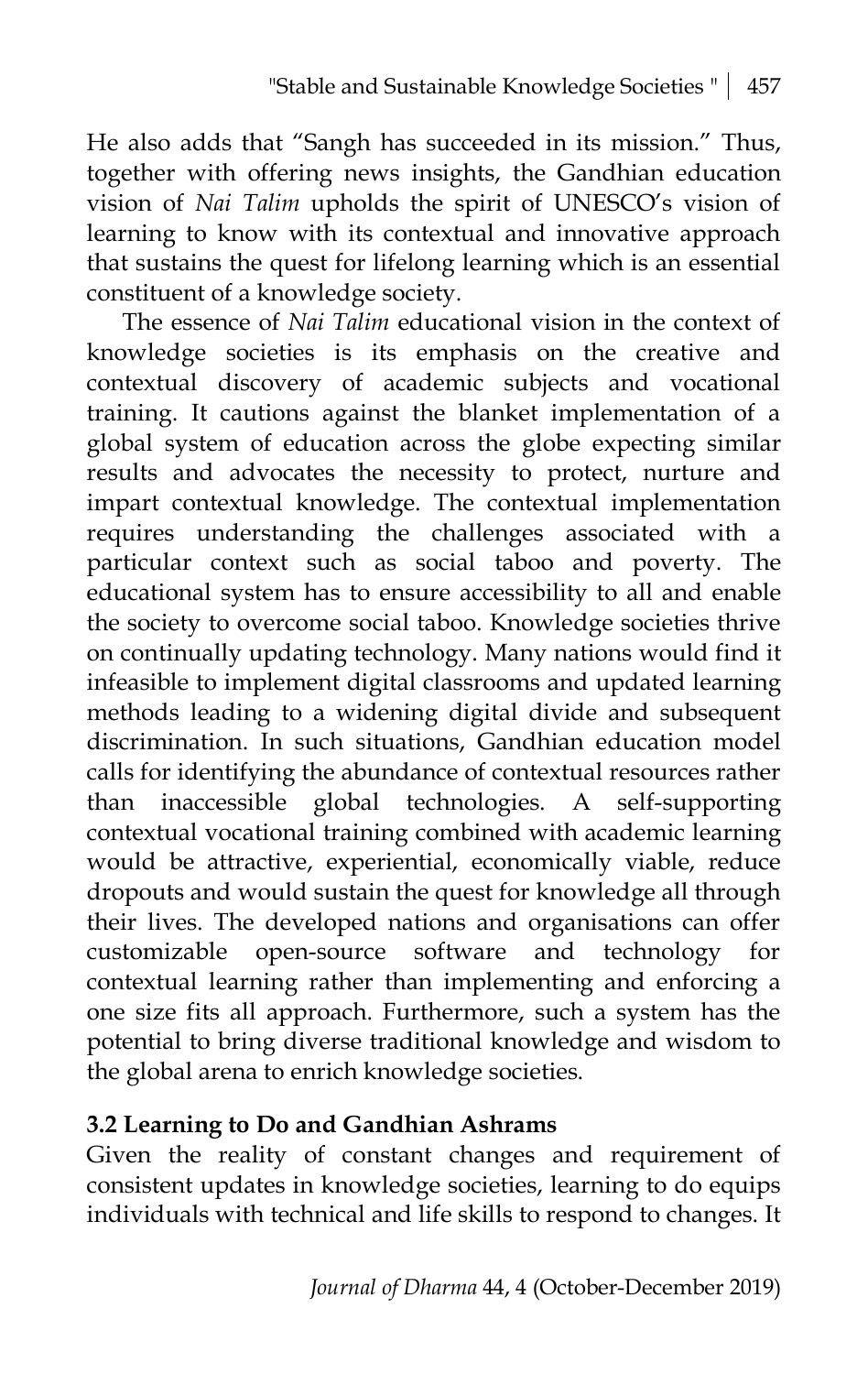He also adds that "Sangh has succeeded in its mission." Thus, together with offering news insights, the Gandhian education vision of *Nai Talim* upholds the spirit of UNESCO's vision of learning to know with its contextual and innovative approach that sustains the quest for lifelong learning which is an essential constituent of a knowledge society.

The essence of *Nai Talim* educational vision in the context of knowledge societies is its emphasis on the creative and contextual discovery of academic subjects and vocational training. It cautions against the blanket implementation of a global system of education across the globe expecting similar results and advocates the necessity to protect, nurture and impart contextual knowledge. The contextual implementation requires understanding the challenges associated with a particular context such as social taboo and poverty. The educational system has to ensure accessibility to all and enable the society to overcome social taboo. Knowledge societies thrive on continually updating technology. Many nations would find it infeasible to implement digital classrooms and updated learning methods leading to a widening digital divide and subsequent discrimination. In such situations, Gandhian education model calls for identifying the abundance of contextual resources rather than inaccessible global technologies. A self-supporting contextual vocational training combined with academic learning would be attractive, experiential, economically viable, reduce dropouts and would sustain the quest for knowledge all through their lives. The developed nations and organisations can offer customizable open-source software and technology for contextual learning rather than implementing and enforcing a one size fits all approach. Furthermore, such a system has the potential to bring diverse traditional knowledge and wisdom to the global arena to enrich knowledge societies.

#### **3.2 Learning to Do and Gandhian Ashrams**

Given the reality of constant changes and requirement of consistent updates in knowledge societies, learning to do equips individuals with technical and life skills to respond to changes. It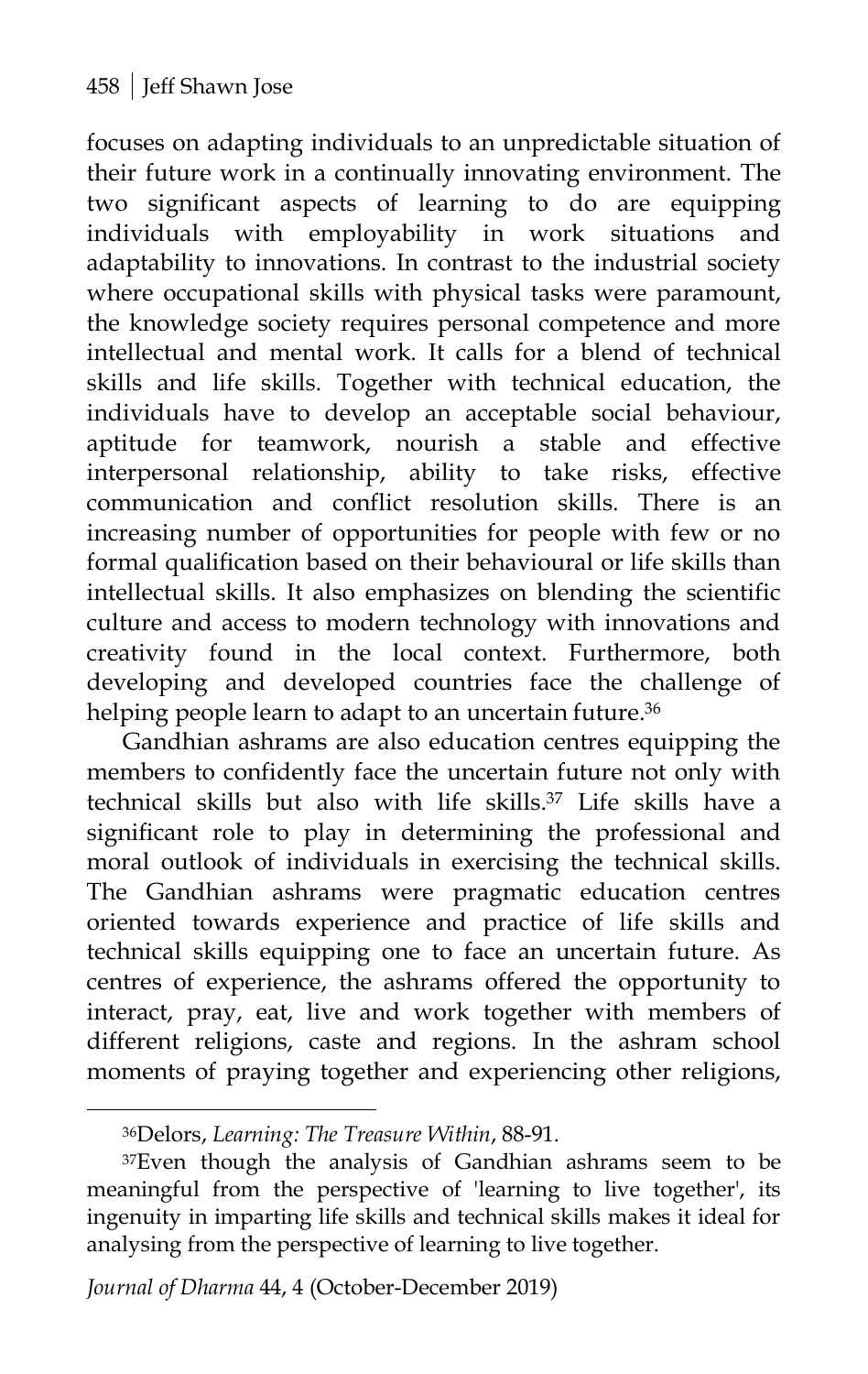focuses on adapting individuals to an unpredictable situation of their future work in a continually innovating environment. The two significant aspects of learning to do are equipping individuals with employability in work situations and adaptability to innovations. In contrast to the industrial society where occupational skills with physical tasks were paramount, the knowledge society requires personal competence and more intellectual and mental work. It calls for a blend of technical skills and life skills. Together with technical education, the individuals have to develop an acceptable social behaviour, aptitude for teamwork, nourish a stable and effective interpersonal relationship, ability to take risks, effective communication and conflict resolution skills. There is an increasing number of opportunities for people with few or no formal qualification based on their behavioural or life skills than intellectual skills. It also emphasizes on blending the scientific culture and access to modern technology with innovations and creativity found in the local context. Furthermore, both developing and developed countries face the challenge of helping people learn to adapt to an uncertain future.<sup>36</sup>

Gandhian ashrams are also education centres equipping the members to confidently face the uncertain future not only with technical skills but also with life skills.37 Life skills have a significant role to play in determining the professional and moral outlook of individuals in exercising the technical skills. The Gandhian ashrams were pragmatic education centres oriented towards experience and practice of life skills and technical skills equipping one to face an uncertain future. As centres of experience, the ashrams offered the opportunity to interact, pray, eat, live and work together with members of different religions, caste and regions. In the ashram school moments of praying together and experiencing other religions,

<sup>36</sup>Delors, *Learning: The Treasure Within*, 88-91.

<sup>&</sup>lt;sup>37</sup>Even though the analysis of Gandhian ashrams seem to be meaningful from the perspective of 'learning to live together', its ingenuity in imparting life skills and technical skills makes it ideal for analysing from the perspective of learning to live together.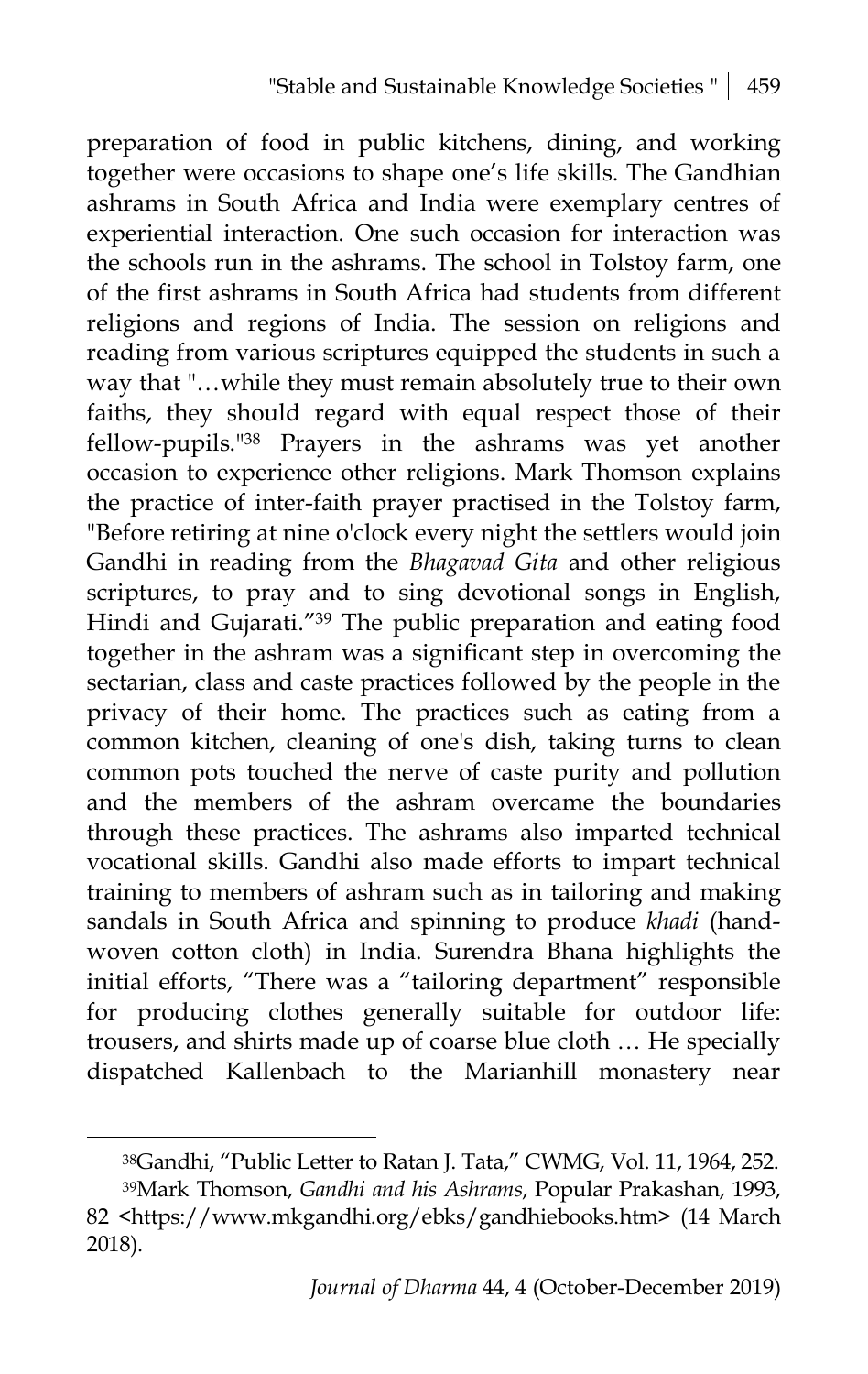preparation of food in public kitchens, dining, and working together were occasions to shape one's life skills. The Gandhian ashrams in South Africa and India were exemplary centres of experiential interaction. One such occasion for interaction was the schools run in the ashrams. The school in Tolstoy farm, one of the first ashrams in South Africa had students from different religions and regions of India. The session on religions and reading from various scriptures equipped the students in such a way that "…while they must remain absolutely true to their own faiths, they should regard with equal respect those of their fellow-pupils."38 Prayers in the ashrams was yet another occasion to experience other religions. Mark Thomson explains the practice of inter-faith prayer practised in the Tolstoy farm, "Before retiring at nine o'clock every night the settlers would join Gandhi in reading from the *Bhagavad Gita* and other religious scriptures, to pray and to sing devotional songs in English, Hindi and Gujarati."<sup>39</sup> The public preparation and eating food together in the ashram was a significant step in overcoming the sectarian, class and caste practices followed by the people in the privacy of their home. The practices such as eating from a common kitchen, cleaning of one's dish, taking turns to clean common pots touched the nerve of caste purity and pollution and the members of the ashram overcame the boundaries through these practices. The ashrams also imparted technical vocational skills. Gandhi also made efforts to impart technical training to members of ashram such as in tailoring and making sandals in South Africa and spinning to produce *khadi* (handwoven cotton cloth) in India. Surendra Bhana highlights the initial efforts, "There was a "tailoring department" responsible for producing clothes generally suitable for outdoor life: trousers, and shirts made up of coarse blue cloth … He specially dispatched Kallenbach to the Marianhill monastery near

<sup>38</sup>Gandhi, "Public Letter to Ratan J. Tata," CWMG, Vol. 11, 1964, 252.

<sup>39</sup>Mark Thomson, *Gandhi and his Ashrams*, Popular Prakashan, 1993, 82 [<https://www.mkgandhi.org/ebks/gandhiebooks.htm>](https://www.mkgandhi.org/ebks/gandhiebooks.htm) (14 March 2018).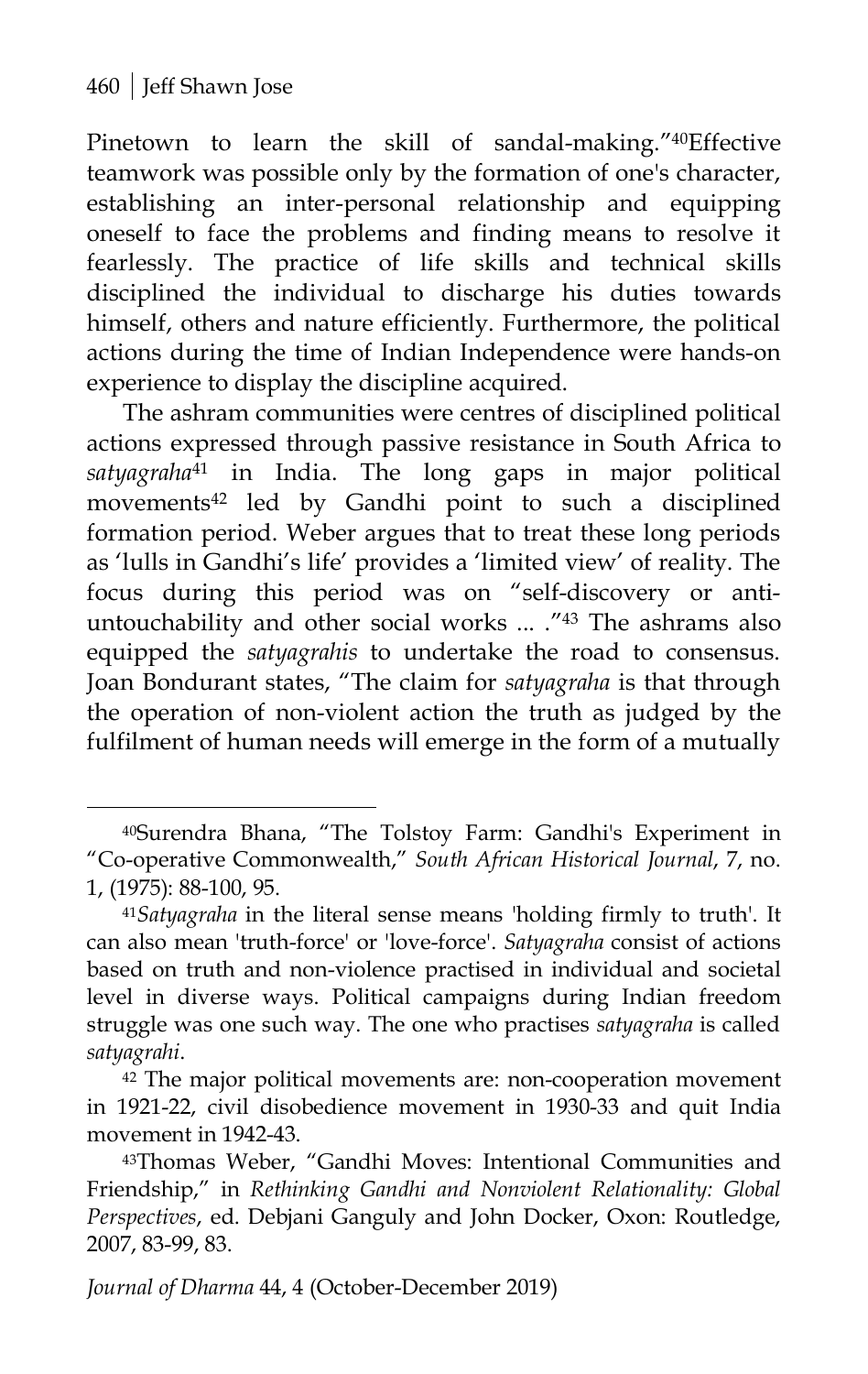$\overline{a}$ 

Pinetown to learn the skill of sandal-making."40Effective teamwork was possible only by the formation of one's character, establishing an inter-personal relationship and equipping oneself to face the problems and finding means to resolve it fearlessly. The practice of life skills and technical skills disciplined the individual to discharge his duties towards himself, others and nature efficiently. Furthermore, the political actions during the time of Indian Independence were hands-on experience to display the discipline acquired.

The ashram communities were centres of disciplined political actions expressed through passive resistance in South Africa to *satyagraha*<sup>41</sup> in India. The long gaps in major political movements<sup>42</sup> led by Gandhi point to such a disciplined formation period. Weber argues that to treat these long periods as 'lulls in Gandhi's life' provides a 'limited view' of reality. The focus during this period was on "self-discovery or antiuntouchability and other social works ... ."43 The ashrams also equipped the *satyagrahis* to undertake the road to consensus. Joan Bondurant states, "The claim for *satyagraha* is that through the operation of non-violent action the truth as judged by the fulfilment of human needs will emerge in the form of a mutually

<sup>40</sup>Surendra Bhana, "The Tolstoy Farm: Gandhi's Experiment in "Co-operative Commonwealth," *South African Historical Journal*, 7, no. 1, (1975): 88-100, 95.

<sup>41</sup>*Satyagraha* in the literal sense means 'holding firmly to truth'. It can also mean 'truth-force' or 'love-force'. *Satyagraha* consist of actions based on truth and non-violence practised in individual and societal level in diverse ways. Political campaigns during Indian freedom struggle was one such way. The one who practises *satyagraha* is called *satyagrahi*.

<sup>42</sup> The major political movements are: non-cooperation movement in 1921-22, civil disobedience movement in 1930-33 and quit India movement in 1942-43.

<sup>43</sup>Thomas Weber, "Gandhi Moves: Intentional Communities and Friendship," in *Rethinking Gandhi and Nonviolent Relationality: Global Perspectives*, ed. Debjani Ganguly and John Docker, Oxon: Routledge, 2007, 83-99, 83.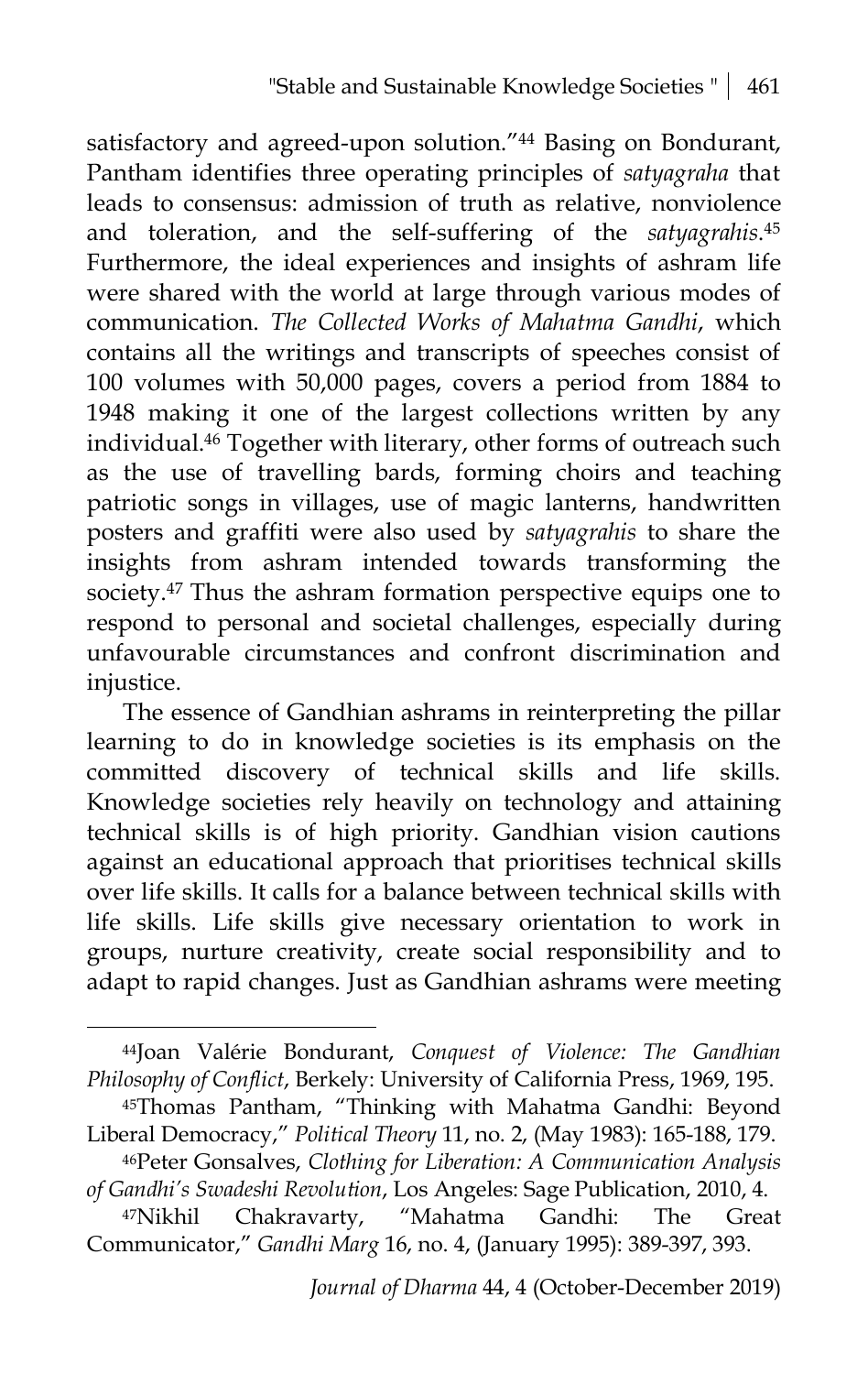satisfactory and agreed-upon solution."44 Basing on Bondurant, Pantham identifies three operating principles of *satyagraha* that leads to consensus: admission of truth as relative, nonviolence and toleration, and the self-suffering of the *satyagrahis*. 45 Furthermore, the ideal experiences and insights of ashram life were shared with the world at large through various modes of communication. *The Collected Works of Mahatma Gandhi*, which contains all the writings and transcripts of speeches consist of 100 volumes with 50,000 pages, covers a period from 1884 to 1948 making it one of the largest collections written by any individual.46 Together with literary, other forms of outreach such as the use of travelling bards, forming choirs and teaching patriotic songs in villages, use of magic lanterns, handwritten posters and graffiti were also used by *satyagrahis* to share the insights from ashram intended towards transforming the society.<sup>47</sup> Thus the ashram formation perspective equips one to respond to personal and societal challenges, especially during unfavourable circumstances and confront discrimination and injustice.

The essence of Gandhian ashrams in reinterpreting the pillar learning to do in knowledge societies is its emphasis on the committed discovery of technical skills and life skills. Knowledge societies rely heavily on technology and attaining technical skills is of high priority. Gandhian vision cautions against an educational approach that prioritises technical skills over life skills. It calls for a balance between technical skills with life skills. Life skills give necessary orientation to work in groups, nurture creativity, create social responsibility and to adapt to rapid changes. Just as Gandhian ashrams were meeting

<sup>44</sup>Joan Valérie Bondurant, *Conquest of Violence: The Gandhian Philosophy of Conflict*, Berkely: University of California Press, 1969, 195.

<sup>45</sup>Thomas Pantham, "Thinking with Mahatma Gandhi: Beyond Liberal Democracy," *Political Theory* 11, no. 2, (May 1983): 165-188, 179.

<sup>46</sup>Peter Gonsalves, *Clothing for Liberation: A Communication Analysis of Gandhi's Swadeshi Revolution*, Los Angeles: Sage Publication, 2010, 4.

<sup>47</sup>Nikhil Chakravarty, "Mahatma Gandhi: The Great Communicator," *Gandhi Marg* 16, no. 4, (January 1995): 389-397, 393.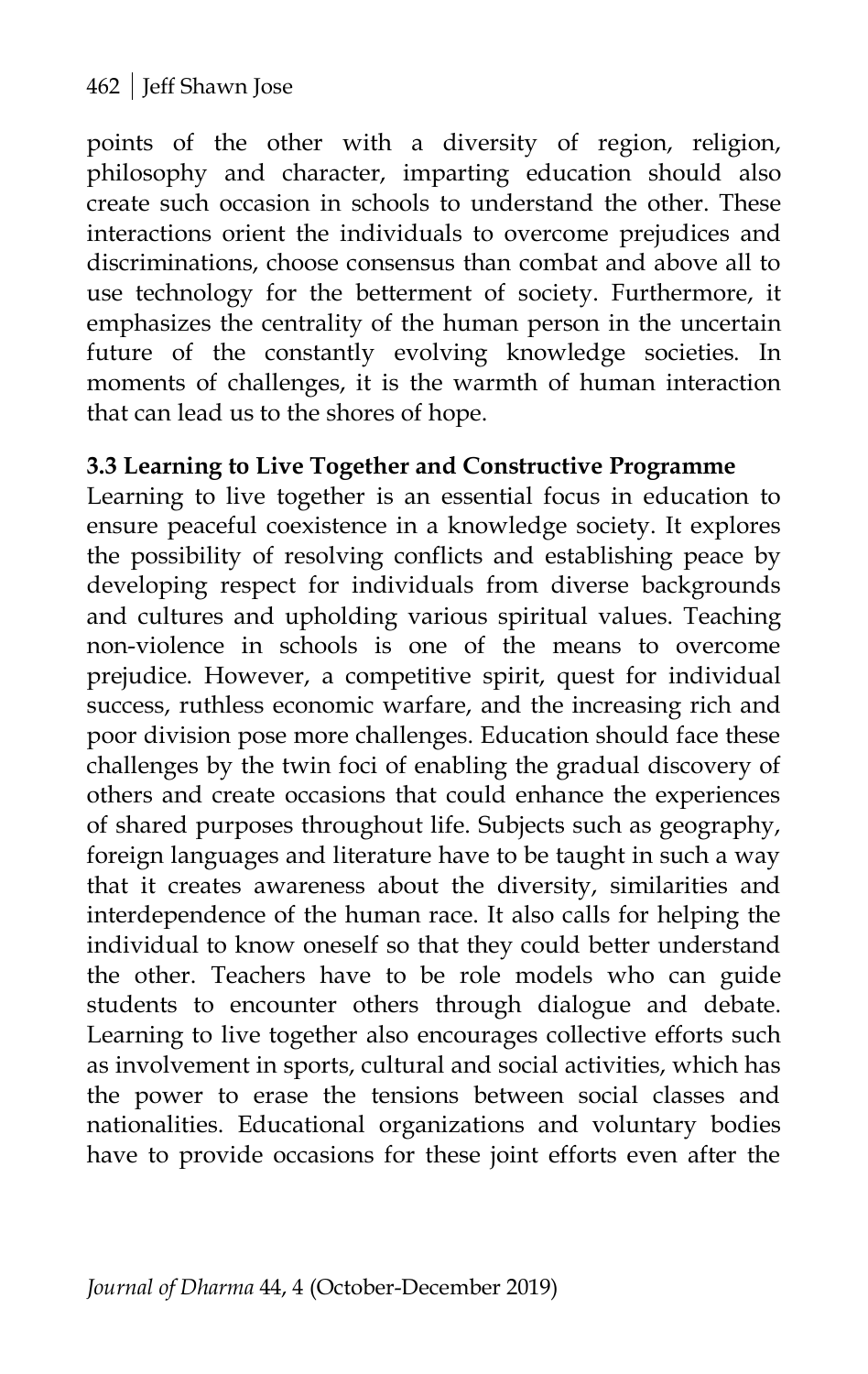points of the other with a diversity of region, religion, philosophy and character, imparting education should also create such occasion in schools to understand the other. These interactions orient the individuals to overcome prejudices and discriminations, choose consensus than combat and above all to use technology for the betterment of society. Furthermore, it emphasizes the centrality of the human person in the uncertain future of the constantly evolving knowledge societies. In moments of challenges, it is the warmth of human interaction that can lead us to the shores of hope.

#### **3.3 Learning to Live Together and Constructive Programme**

Learning to live together is an essential focus in education to ensure peaceful coexistence in a knowledge society. It explores the possibility of resolving conflicts and establishing peace by developing respect for individuals from diverse backgrounds and cultures and upholding various spiritual values. Teaching non-violence in schools is one of the means to overcome prejudice. However, a competitive spirit, quest for individual success, ruthless economic warfare, and the increasing rich and poor division pose more challenges. Education should face these challenges by the twin foci of enabling the gradual discovery of others and create occasions that could enhance the experiences of shared purposes throughout life. Subjects such as geography, foreign languages and literature have to be taught in such a way that it creates awareness about the diversity, similarities and interdependence of the human race. It also calls for helping the individual to know oneself so that they could better understand the other. Teachers have to be role models who can guide students to encounter others through dialogue and debate. Learning to live together also encourages collective efforts such as involvement in sports, cultural and social activities, which has the power to erase the tensions between social classes and nationalities. Educational organizations and voluntary bodies have to provide occasions for these joint efforts even after the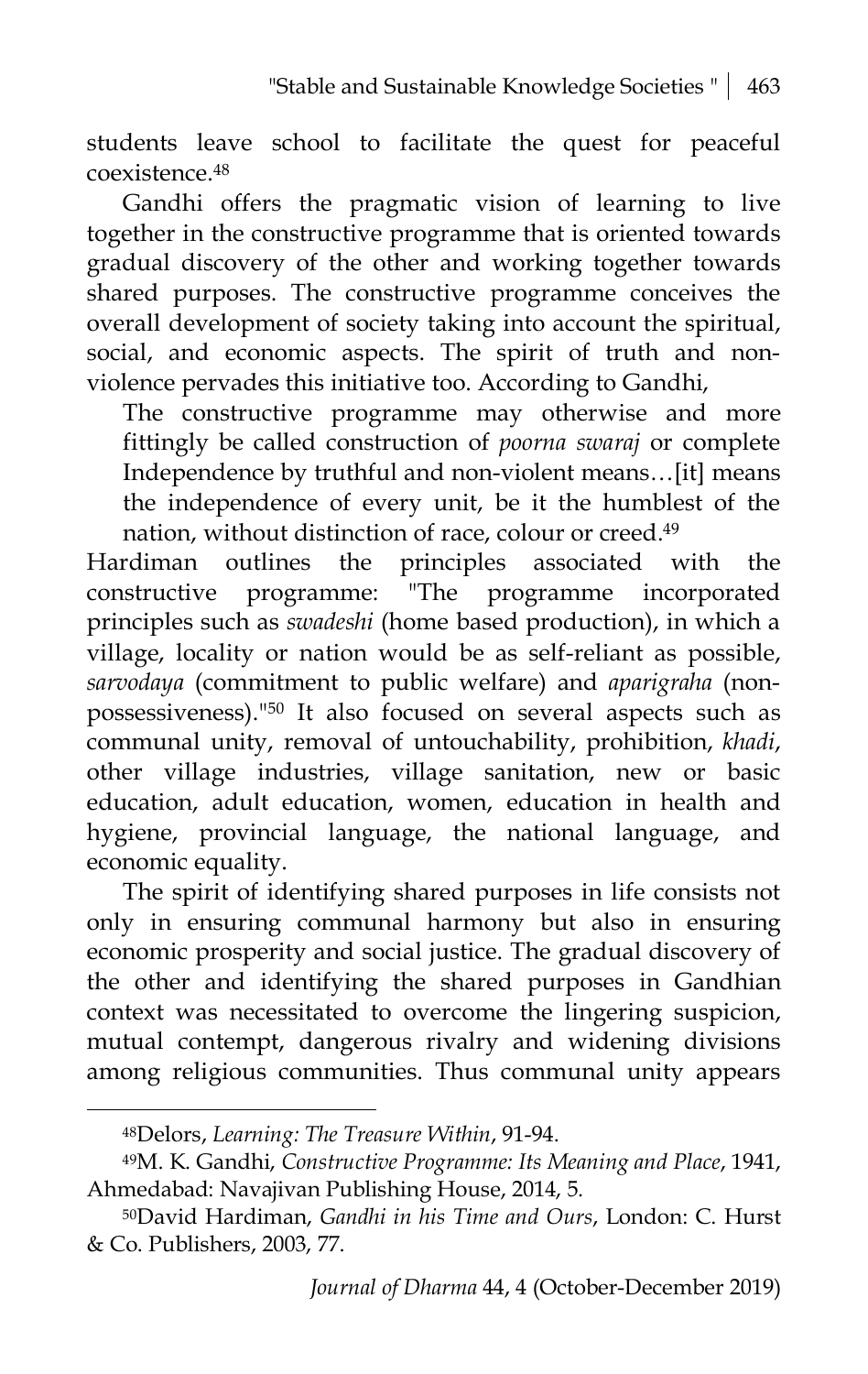students leave school to facilitate the quest for peaceful coexistence.48

Gandhi offers the pragmatic vision of learning to live together in the constructive programme that is oriented towards gradual discovery of the other and working together towards shared purposes. The constructive programme conceives the overall development of society taking into account the spiritual, social, and economic aspects. The spirit of truth and nonviolence pervades this initiative too. According to Gandhi,

The constructive programme may otherwise and more fittingly be called construction of *poorna swaraj* or complete Independence by truthful and non-violent means…[it] means the independence of every unit, be it the humblest of the nation, without distinction of race, colour or creed.49

Hardiman outlines the principles associated with the constructive programme: "The programme incorporated principles such as *swadeshi* (home based production), in which a village, locality or nation would be as self-reliant as possible, *sarvodaya* (commitment to public welfare) and *aparigraha* (nonpossessiveness)."50 It also focused on several aspects such as communal unity, removal of untouchability, prohibition, *khadi*, other village industries, village sanitation, new or basic education, adult education, women, education in health and hygiene, provincial language, the national language, and economic equality.

The spirit of identifying shared purposes in life consists not only in ensuring communal harmony but also in ensuring economic prosperity and social justice. The gradual discovery of the other and identifying the shared purposes in Gandhian context was necessitated to overcome the lingering suspicion, mutual contempt, dangerous rivalry and widening divisions among religious communities. Thus communal unity appears

<sup>48</sup>Delors, *Learning: The Treasure Within*, 91-94.

<sup>49</sup>M. K. Gandhi, *Constructive Programme: Its Meaning and Place*, 1941, Ahmedabad: Navajivan Publishing House, 2014, 5.

<sup>50</sup>David Hardiman, *Gandhi in his Time and Ours*, London: C. Hurst & Co. Publishers, 2003, 77.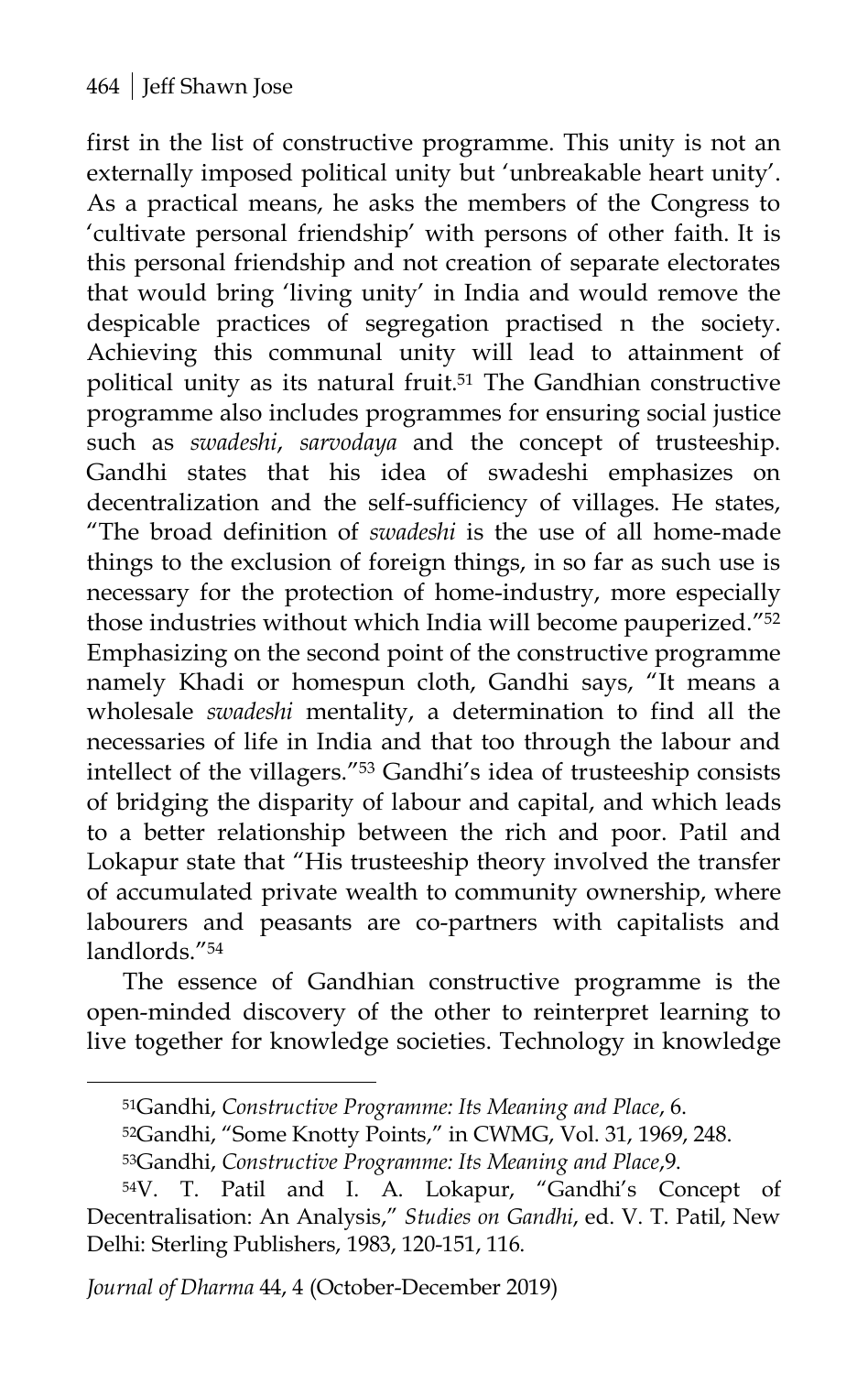first in the list of constructive programme. This unity is not an externally imposed political unity but 'unbreakable heart unity'. As a practical means, he asks the members of the Congress to 'cultivate personal friendship' with persons of other faith. It is this personal friendship and not creation of separate electorates that would bring 'living unity' in India and would remove the despicable practices of segregation practised n the society. Achieving this communal unity will lead to attainment of political unity as its natural fruit.<sup>51</sup> The Gandhian constructive programme also includes programmes for ensuring social justice such as *swadeshi*, *sarvodaya* and the concept of trusteeship. Gandhi states that his idea of swadeshi emphasizes on decentralization and the self-sufficiency of villages. He states, "The broad definition of *swadeshi* is the use of all home-made things to the exclusion of foreign things, in so far as such use is necessary for the protection of home-industry, more especially those industries without which India will become pauperized."52 Emphasizing on the second point of the constructive programme namely Khadi or homespun cloth, Gandhi says, "It means a wholesale *swadeshi* mentality, a determination to find all the necessaries of life in India and that too through the labour and intellect of the villagers."53 Gandhi's idea of trusteeship consists of bridging the disparity of labour and capital, and which leads to a better relationship between the rich and poor. Patil and Lokapur state that "His trusteeship theory involved the transfer of accumulated private wealth to community ownership, where labourers and peasants are co-partners with capitalists and landlords."54

The essence of Gandhian constructive programme is the open-minded discovery of the other to reinterpret learning to live together for knowledge societies. Technology in knowledge

*Journal of Dharma* 44, 4 (October-December 2019)

<sup>51</sup>Gandhi, *Constructive Programme: Its Meaning and Place*, 6.

<sup>52</sup>Gandhi, "Some Knotty Points," in CWMG, Vol. 31, 1969, 248.

<sup>53</sup>Gandhi, *Constructive Programme: Its Meaning and Place*,9.

<sup>54</sup>V. T. Patil and I. A. Lokapur, "Gandhi's Concept of Decentralisation: An Analysis," *Studies on Gandhi*, ed. V. T. Patil, New Delhi: Sterling Publishers, 1983, 120-151, 116.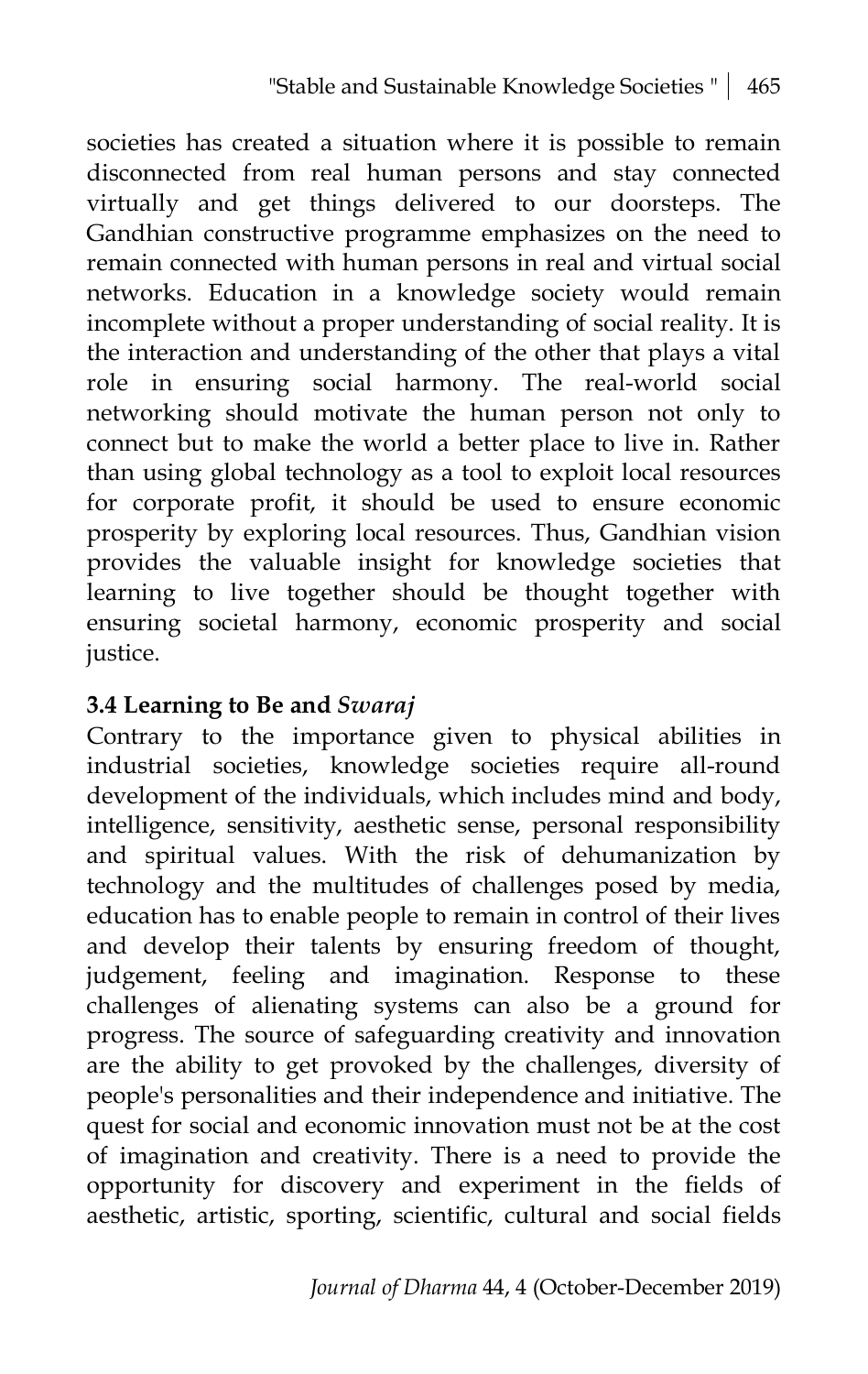societies has created a situation where it is possible to remain disconnected from real human persons and stay connected virtually and get things delivered to our doorsteps. The Gandhian constructive programme emphasizes on the need to remain connected with human persons in real and virtual social networks. Education in a knowledge society would remain incomplete without a proper understanding of social reality. It is the interaction and understanding of the other that plays a vital role in ensuring social harmony. The real-world social networking should motivate the human person not only to connect but to make the world a better place to live in. Rather than using global technology as a tool to exploit local resources for corporate profit, it should be used to ensure economic prosperity by exploring local resources. Thus, Gandhian vision provides the valuable insight for knowledge societies that learning to live together should be thought together with ensuring societal harmony, economic prosperity and social justice.

#### **3.4 Learning to Be and** *Swaraj*

Contrary to the importance given to physical abilities in industrial societies, knowledge societies require all-round development of the individuals, which includes mind and body, intelligence, sensitivity, aesthetic sense, personal responsibility and spiritual values. With the risk of dehumanization by technology and the multitudes of challenges posed by media, education has to enable people to remain in control of their lives and develop their talents by ensuring freedom of thought, judgement, feeling and imagination. Response to these challenges of alienating systems can also be a ground for progress. The source of safeguarding creativity and innovation are the ability to get provoked by the challenges, diversity of people's personalities and their independence and initiative. The quest for social and economic innovation must not be at the cost of imagination and creativity. There is a need to provide the opportunity for discovery and experiment in the fields of aesthetic, artistic, sporting, scientific, cultural and social fields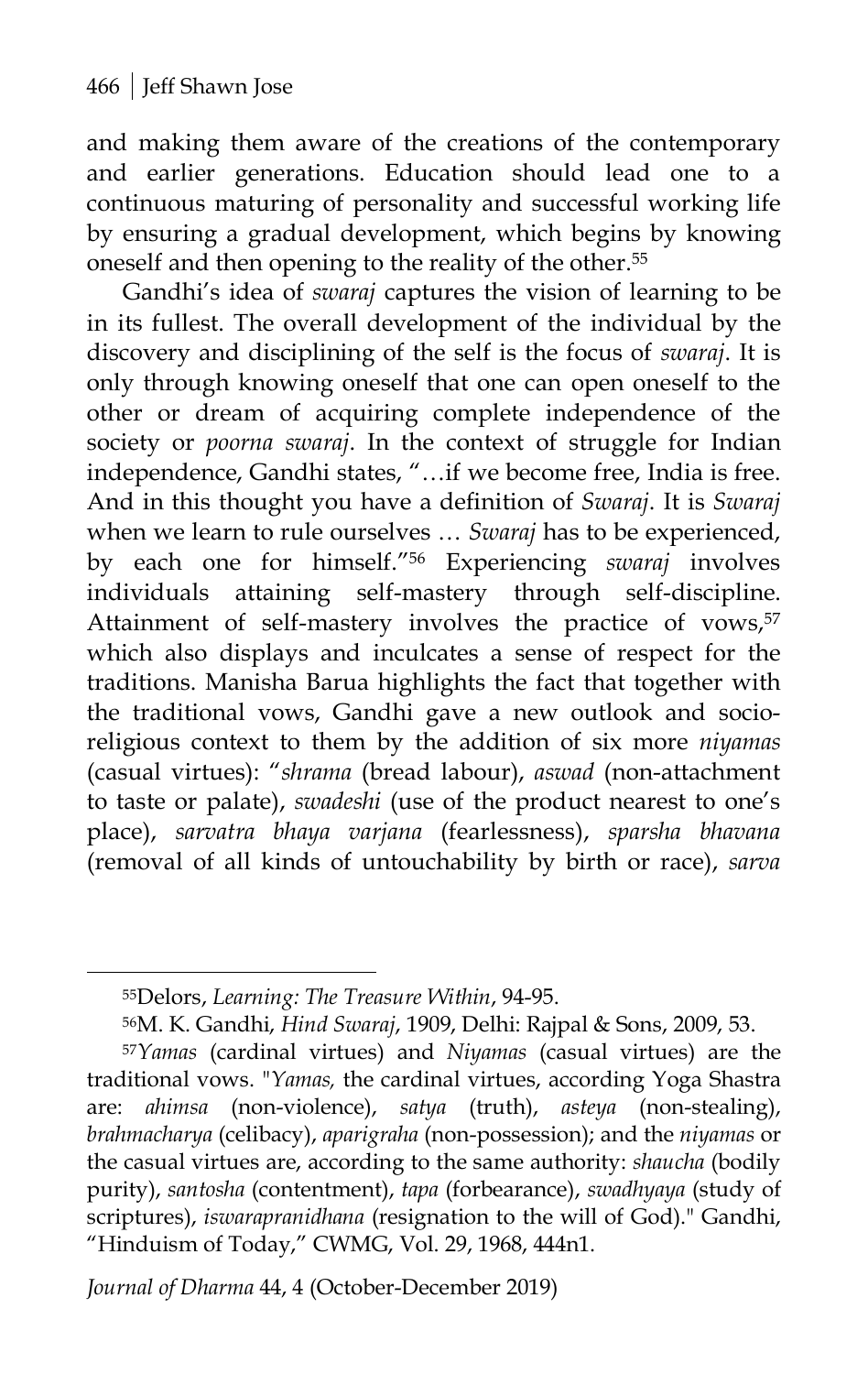and making them aware of the creations of the contemporary and earlier generations. Education should lead one to a continuous maturing of personality and successful working life by ensuring a gradual development, which begins by knowing oneself and then opening to the reality of the other.55

Gandhi's idea of *swaraj* captures the vision of learning to be in its fullest. The overall development of the individual by the discovery and disciplining of the self is the focus of *swaraj*. It is only through knowing oneself that one can open oneself to the other or dream of acquiring complete independence of the society or *poorna swaraj*. In the context of struggle for Indian independence, Gandhi states, "…if we become free, India is free. And in this thought you have a definition of *Swaraj*. It is *Swaraj* when we learn to rule ourselves … *Swaraj* has to be experienced, by each one for himself."56 Experiencing *swaraj* involves individuals attaining self-mastery through self-discipline. Attainment of self-mastery involves the practice of vows,<sup>57</sup> which also displays and inculcates a sense of respect for the traditions. Manisha Barua highlights the fact that together with the traditional vows, Gandhi gave a new outlook and socioreligious context to them by the addition of six more *niyamas* (casual virtues): "*shrama* (bread labour), *aswad* (non-attachment to taste or palate), *swadeshi* (use of the product nearest to one's place), *sarvatra bhaya varjana* (fearlessness), *sparsha bhavana* (removal of all kinds of untouchability by birth or race), *sarva* 

 $\overline{a}$ 

*Journal of Dharma* 44, 4 (October-December 2019)

<sup>55</sup>Delors, *Learning: The Treasure Within*, 94-95.

<sup>56</sup>M. K. Gandhi, *Hind Swaraj*, 1909, Delhi: Rajpal & Sons, 2009, 53.

<sup>57</sup>*Yamas* (cardinal virtues) and *Niyamas* (casual virtues) are the traditional vows. "*Yamas,* the cardinal virtues, according Yoga Shastra are: *ahimsa* (non-violence), *satya* (truth), *asteya* (non-stealing), *brahmacharya* (celibacy), *aparigraha* (non-possession); and the *niyamas* or the casual virtues are, according to the same authority: *shaucha* (bodily purity), *santosha* (contentment), *tapa* (forbearance), *swadhyaya* (study of scriptures), *iswarapranidhana* (resignation to the will of God)." Gandhi, "Hinduism of Today," CWMG, Vol. 29, 1968, 444n1.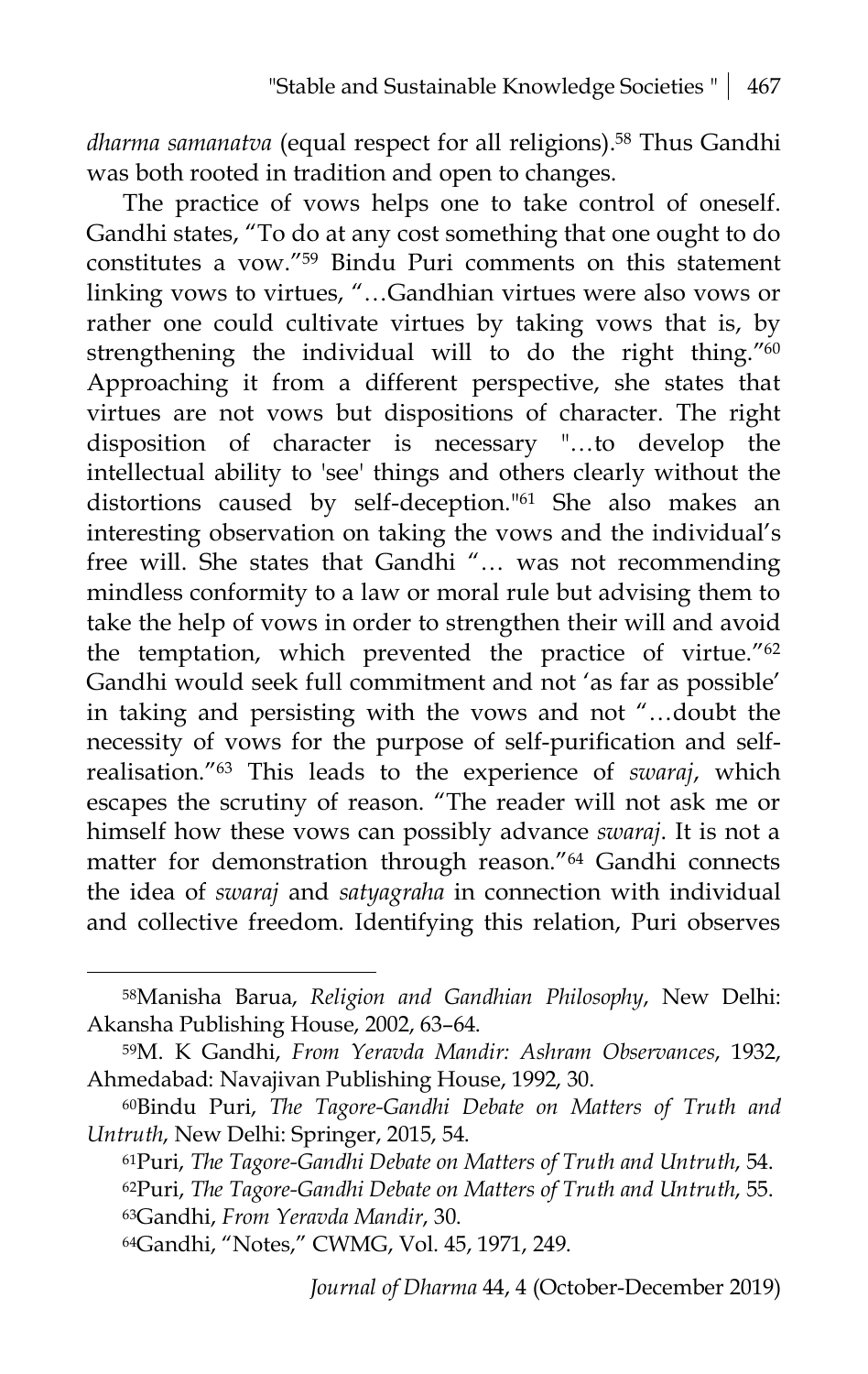*dharma samanatva* (equal respect for all religions).58 Thus Gandhi was both rooted in tradition and open to changes.

The practice of vows helps one to take control of oneself. Gandhi states, "To do at any cost something that one ought to do constitutes a vow."59 Bindu Puri comments on this statement linking vows to virtues, "…Gandhian virtues were also vows or rather one could cultivate virtues by taking vows that is, by strengthening the individual will to do the right thing."<sup>60</sup> Approaching it from a different perspective, she states that virtues are not vows but dispositions of character. The right disposition of character is necessary "…to develop the intellectual ability to 'see' things and others clearly without the distortions caused by self-deception."61 She also makes an interesting observation on taking the vows and the individual's free will. She states that Gandhi "… was not recommending mindless conformity to a law or moral rule but advising them to take the help of vows in order to strengthen their will and avoid the temptation, which prevented the practice of virtue."62 Gandhi would seek full commitment and not 'as far as possible' in taking and persisting with the vows and not "…doubt the necessity of vows for the purpose of self-purification and selfrealisation."63 This leads to the experience of *swaraj*, which escapes the scrutiny of reason. "The reader will not ask me or himself how these vows can possibly advance *swaraj*. It is not a matter for demonstration through reason."64 Gandhi connects the idea of *swaraj* and *satyagraha* in connection with individual and collective freedom. Identifying this relation, Puri observes

<sup>58</sup>Manisha Barua, *Religion and Gandhian Philosophy*, New Delhi: Akansha Publishing House, 2002, 63–64.

<sup>59</sup>M. K Gandhi, *From Yeravda Mandir: Ashram Observances*, 1932, Ahmedabad: Navajivan Publishing House, 1992, 30.

<sup>60</sup>Bindu Puri, *The Tagore-Gandhi Debate on Matters of Truth and Untruth*, New Delhi: Springer, 2015, 54.

<sup>61</sup>Puri, *The Tagore-Gandhi Debate on Matters of Truth and Untruth*, 54. 62Puri, *The Tagore-Gandhi Debate on Matters of Truth and Untruth*, 55. 63Gandhi, *From Yeravda Mandir*, 30.

<sup>64</sup>Gandhi, "Notes," CWMG, Vol. 45, 1971, 249.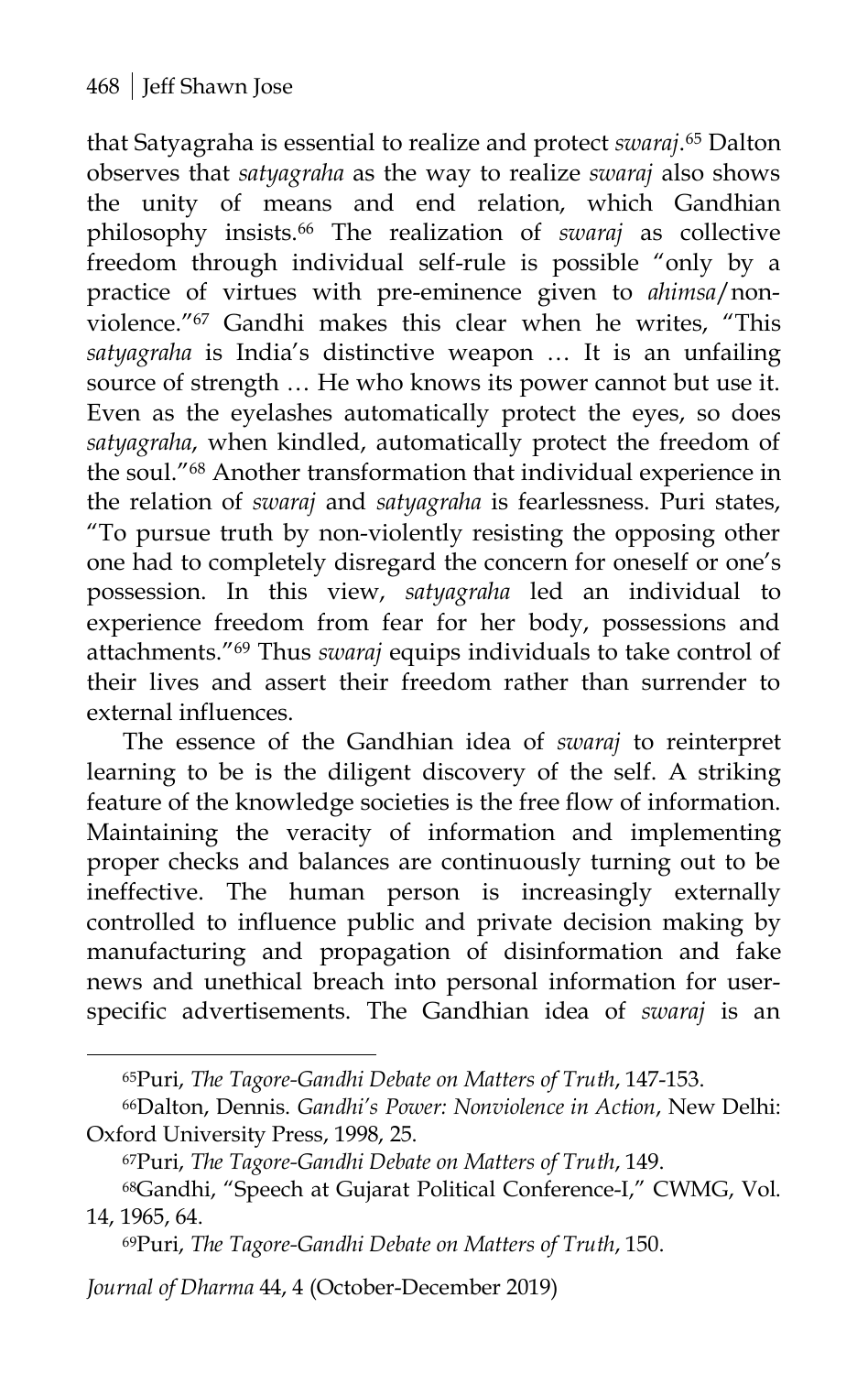that Satyagraha is essential to realize and protect *swaraj*.65 Dalton observes that *satyagraha* as the way to realize *swaraj* also shows the unity of means and end relation, which Gandhian philosophy insists. <sup>66</sup> The realization of *swaraj* as collective freedom through individual self-rule is possible "only by a practice of virtues with pre-eminence given to *ahimsa*/nonviolence."67 Gandhi makes this clear when he writes, "This *satyagraha* is India's distinctive weapon … It is an unfailing source of strength … He who knows its power cannot but use it. Even as the eyelashes automatically protect the eyes, so does *satyagraha*, when kindled, automatically protect the freedom of the soul."68 Another transformation that individual experience in the relation of *swaraj* and *satyagraha* is fearlessness. Puri states, "To pursue truth by non-violently resisting the opposing other one had to completely disregard the concern for oneself or one's possession. In this view, *satyagraha* led an individual to experience freedom from fear for her body, possessions and attachments."69 Thus *swaraj* equips individuals to take control of their lives and assert their freedom rather than surrender to external influences.

The essence of the Gandhian idea of *swaraj* to reinterpret learning to be is the diligent discovery of the self. A striking feature of the knowledge societies is the free flow of information. Maintaining the veracity of information and implementing proper checks and balances are continuously turning out to be ineffective. The human person is increasingly externally controlled to influence public and private decision making by manufacturing and propagation of disinformation and fake news and unethical breach into personal information for userspecific advertisements. The Gandhian idea of *swaraj* is an

*Journal of Dharma* 44, 4 (October-December 2019)

<sup>65</sup>Puri, *The Tagore-Gandhi Debate on Matters of Truth*, 147-153.

<sup>66</sup>Dalton, Dennis. *Gandhi's Power: Nonviolence in Action*, New Delhi: Oxford University Press, 1998, 25.

<sup>67</sup>Puri, *The Tagore-Gandhi Debate on Matters of Truth*, 149.

<sup>68</sup>Gandhi, "Speech at Gujarat Political Conference-I," CWMG, Vol. 14, 1965, 64.

<sup>69</sup>Puri, *The Tagore-Gandhi Debate on Matters of Truth*, 150.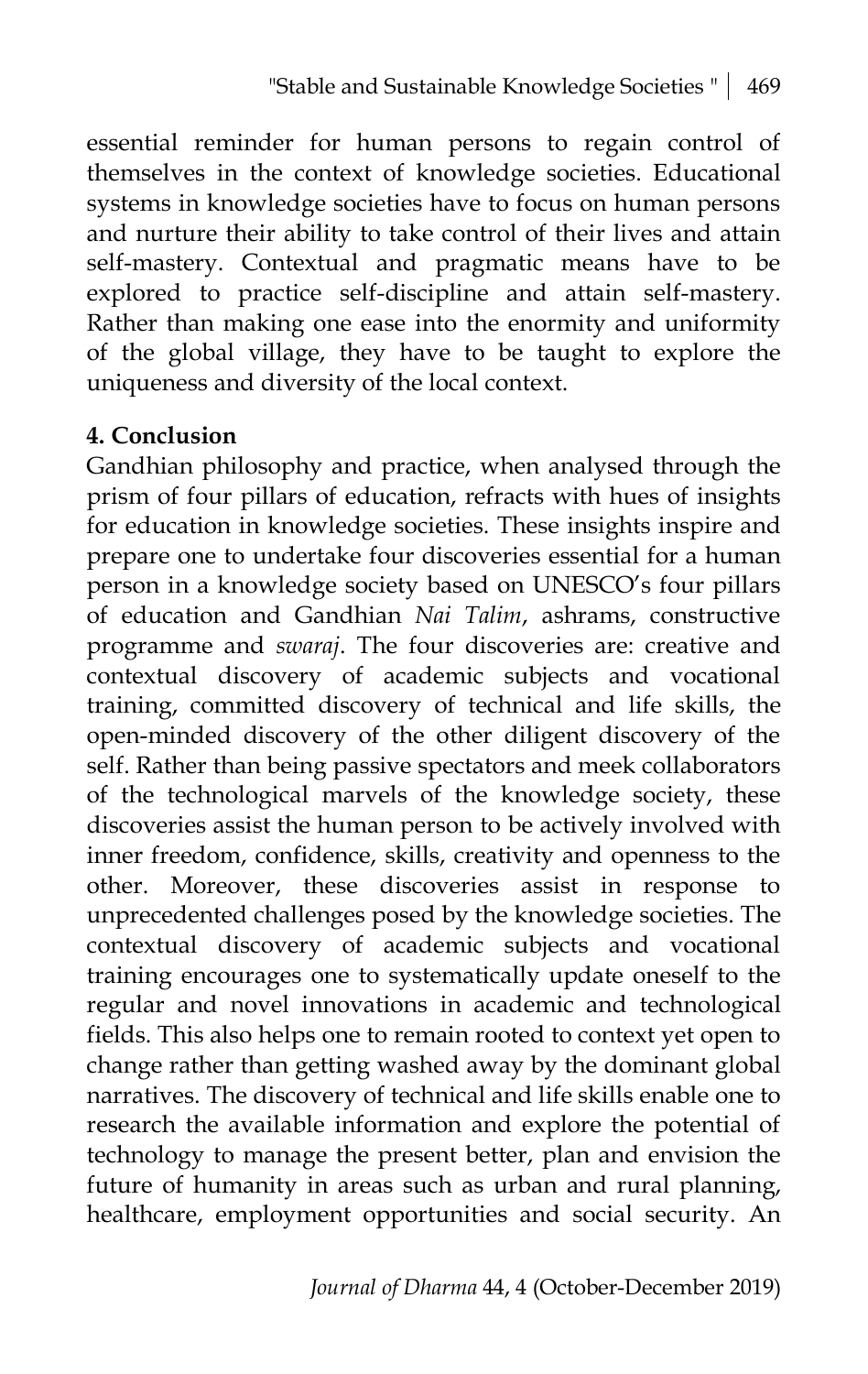essential reminder for human persons to regain control of themselves in the context of knowledge societies. Educational systems in knowledge societies have to focus on human persons and nurture their ability to take control of their lives and attain self-mastery. Contextual and pragmatic means have to be explored to practice self-discipline and attain self-mastery. Rather than making one ease into the enormity and uniformity of the global village, they have to be taught to explore the uniqueness and diversity of the local context.

#### **4. Conclusion**

Gandhian philosophy and practice, when analysed through the prism of four pillars of education, refracts with hues of insights for education in knowledge societies. These insights inspire and prepare one to undertake four discoveries essential for a human person in a knowledge society based on UNESCO's four pillars of education and Gandhian *Nai Talim*, ashrams, constructive programme and *swaraj*. The four discoveries are: creative and contextual discovery of academic subjects and vocational training, committed discovery of technical and life skills, the open-minded discovery of the other diligent discovery of the self. Rather than being passive spectators and meek collaborators of the technological marvels of the knowledge society, these discoveries assist the human person to be actively involved with inner freedom, confidence, skills, creativity and openness to the other. Moreover, these discoveries assist in response to unprecedented challenges posed by the knowledge societies. The contextual discovery of academic subjects and vocational training encourages one to systematically update oneself to the regular and novel innovations in academic and technological fields. This also helps one to remain rooted to context yet open to change rather than getting washed away by the dominant global narratives. The discovery of technical and life skills enable one to research the available information and explore the potential of technology to manage the present better, plan and envision the future of humanity in areas such as urban and rural planning, healthcare, employment opportunities and social security. An